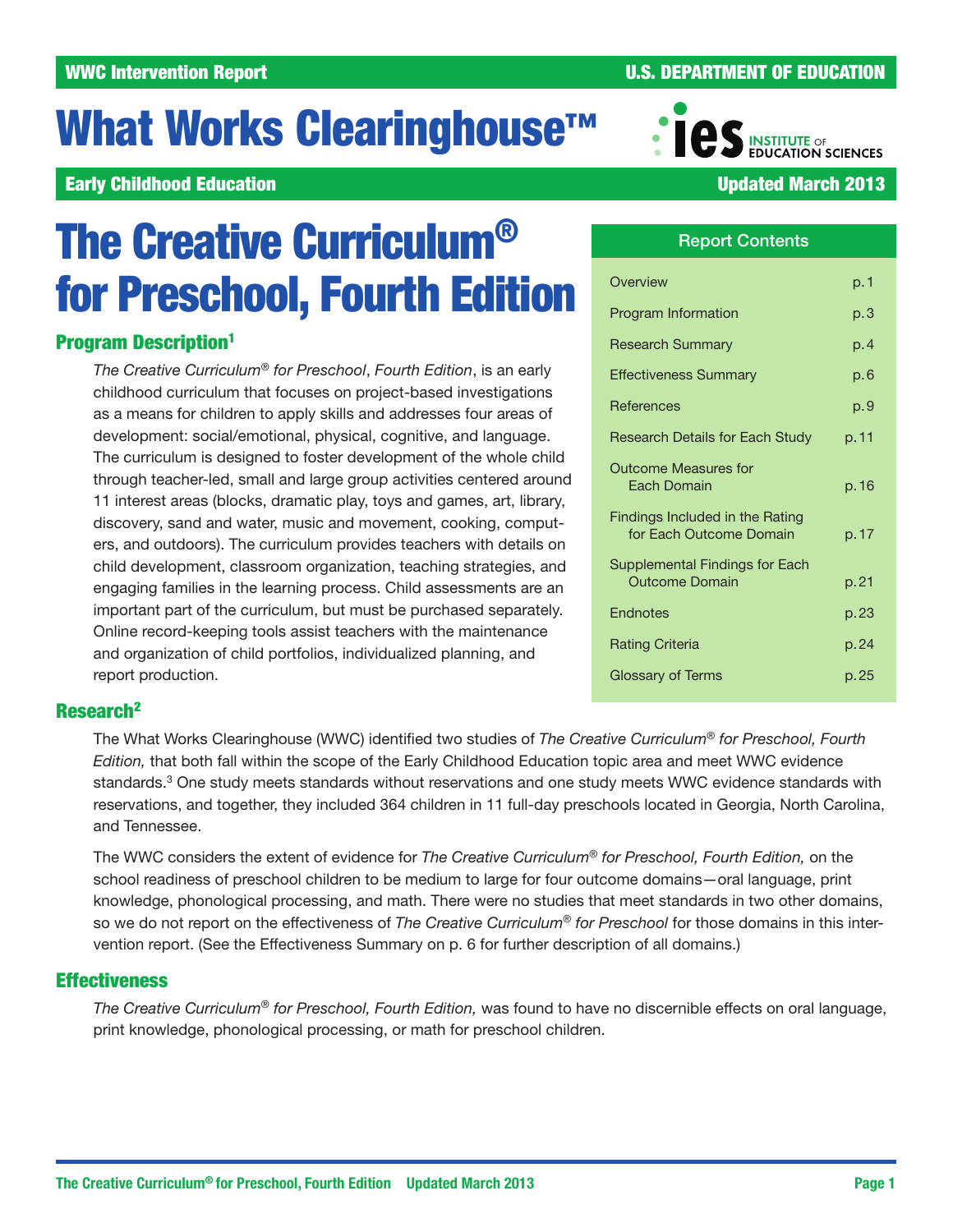# What Works Clearinghouse<sup>™</sup>

# **Early Childhood Education National Activity of the Childhood Education National Activity of the Updated March 2013**

# The Creative Curriculum® for Preschool, Fourth Edition

# Program Description1

*The Creative Curriculum*® *for Preschool*, *Fourth Edition*, is an early childhood curriculum that focuses on project-based investigations as a means for children to apply skills and addresses four areas of development: social/emotional, physical, cognitive, and language. The curriculum is designed to foster development of the whole child through teacher-led, small and large group activities centered around 11 interest areas (blocks, dramatic play, toys and games, art, library, discovery, sand and water, music and movement, cooking, computers, and outdoors). The curriculum provides teachers with details on child development, classroom organization, teaching strategies, and engaging families in the learning process. Child assessments are an important part of the curriculum, but must be purchased separately. Online record-keeping tools assist teachers with the maintenance and organization of child portfolios, individualized planning, and report production.

# Report Contents

| Overview                                                   | p. 1  |
|------------------------------------------------------------|-------|
| Program Information                                        | p.3   |
| <b>Research Summary</b>                                    | p. 4  |
| <b>Effectiveness Summary</b>                               | p.6   |
| <b>References</b>                                          | p.9   |
| Research Details for Each Study                            | p. 11 |
| Outcome Measures for<br><b>Fach Domain</b>                 | p. 16 |
| Findings Included in the Rating<br>for Each Outcome Domain | p. 17 |
| Supplemental Findings for Each<br><b>Outcome Domain</b>    | p.21  |
| Endnotes                                                   | p. 23 |
| <b>Rating Criteria</b>                                     | p.24  |
| Glossary of Terms                                          | p. 25 |

# Research2

The What Works Clearinghouse (WWC) identified two studies of *The Creative Curriculum*® *for Preschool, Fourth Edition,* that both fall within the scope of the Early Childhood Education topic area and meet WWC evidence standards.3 One study meets standards without reservations and one study meets WWC evidence standards with reservations, and together, they included 364 children in 11 full-day preschools located in Georgia, North Carolina, and Tennessee.

The WWC considers the extent of evidence for *The Creative Curriculum*® *for Preschool, Fourth Edition,* on the school readiness of preschool children to be medium to large for four outcome domains—oral language, print knowledge, phonological processing, and math. There were no studies that meet standards in two other domains, so we do not report on the effectiveness of *The Creative Curriculum*® *for Preschool* for those domains in this intervention report. (See the Effectiveness Summary on p. 6 for further description of all domains.)

# **Effectiveness**

*The Creative Curriculum*® *for Preschool, Fourth Edition,* was found to have no discernible effects on oral language, print knowledge, phonological processing, or math for preschool children.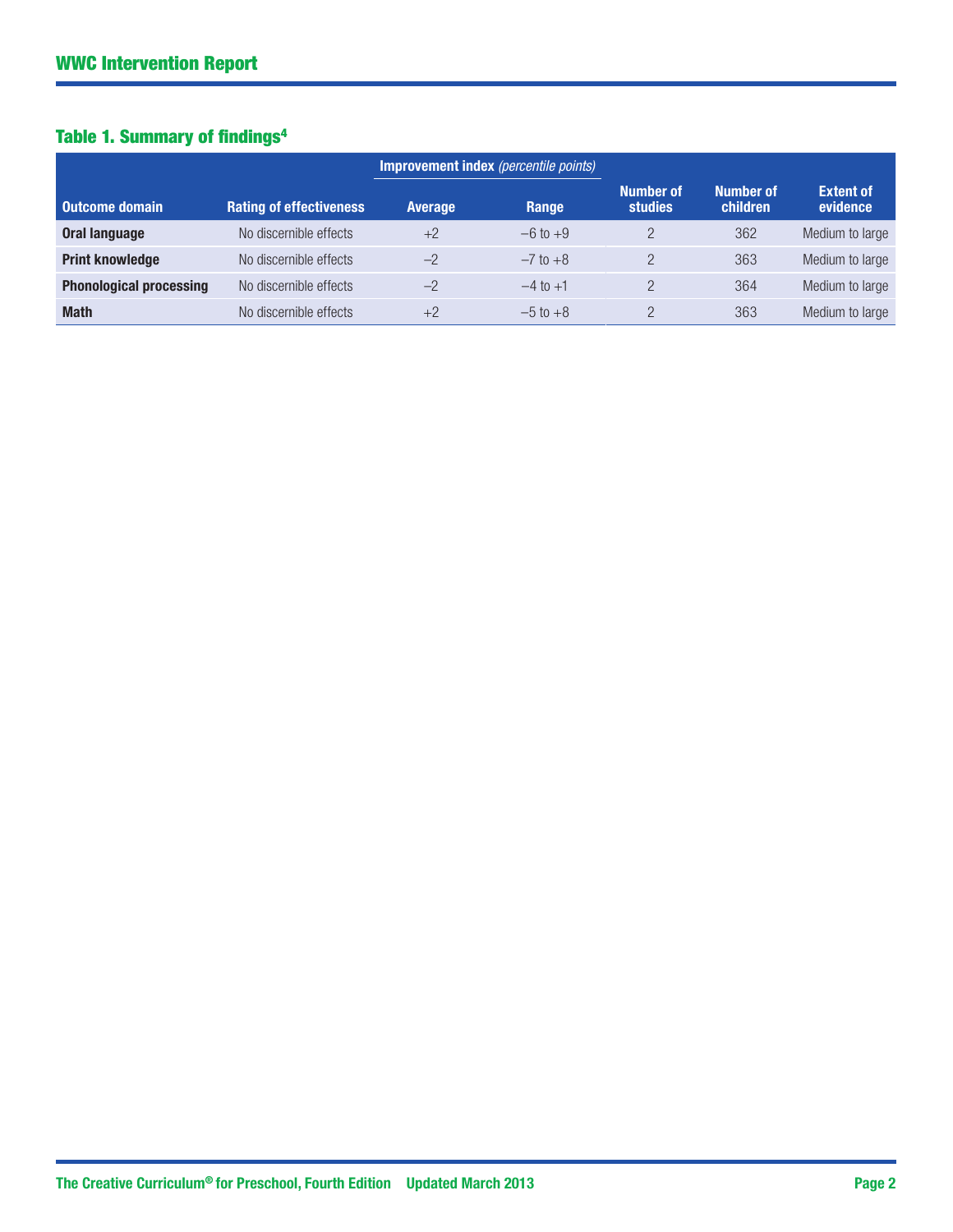# Table 1. Summary of findings<sup>4</sup>

|                                |                                |                | Improvement index (percentile points) |                                    |                       |                              |
|--------------------------------|--------------------------------|----------------|---------------------------------------|------------------------------------|-----------------------|------------------------------|
| <b>Outcome domain</b>          | <b>Rating of effectiveness</b> | <b>Average</b> | Range                                 | <b>Number of</b><br><b>studies</b> | Number of<br>children | <b>Extent of</b><br>evidence |
| <b>Oral language</b>           | No discernible effects         | $+2$           | $-6$ to $+9$                          |                                    | 362                   | Medium to large              |
| <b>Print knowledge</b>         | No discernible effects         | $-2$           | $-7$ to $+8$                          |                                    | 363                   | Medium to large              |
| <b>Phonological processing</b> | No discernible effects         | $-2$           | $-4$ to $+1$                          |                                    | 364                   | Medium to large              |
| <b>Math</b>                    | No discernible effects         | $+2$           | $-5$ to $+8$                          |                                    | 363                   | Medium to large              |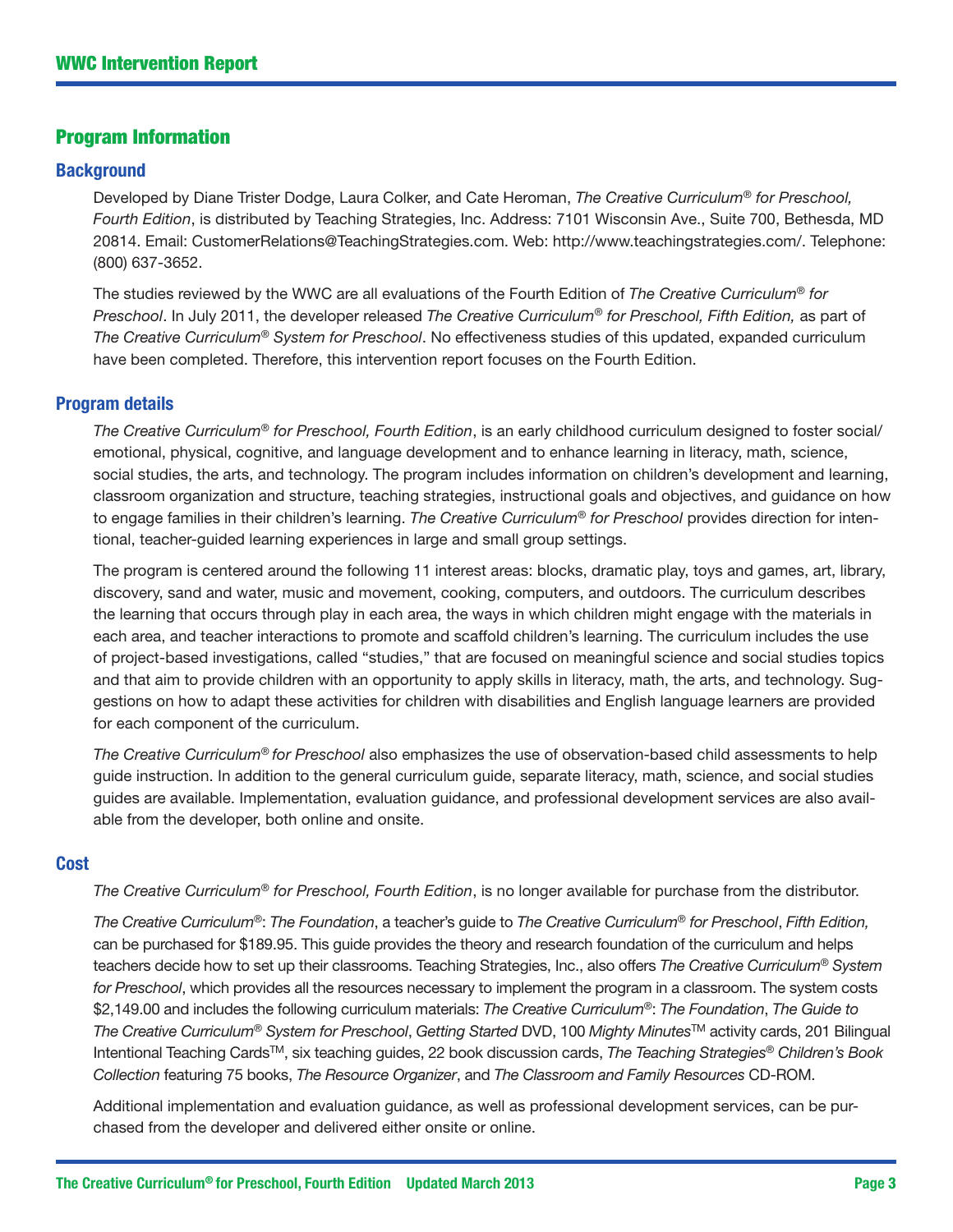# Program Information

#### **Background**

Developed by Diane Trister Dodge, Laura Colker, and Cate Heroman, *The Creative Curriculum*® *for Preschool, Fourth Edition*, is distributed by Teaching Strategies, Inc. Address: 7101 Wisconsin Ave., Suite 700, Bethesda, MD 20814. [Email: CustomerRelations@TeachingStrategies.com](Mailto: CustomerRelations@TeachingStrategies.com). Web: [http://www.teachingstrategies.com/](http://www.teachingstrategies.com). Telephone: (800) 637-3652.

The studies reviewed by the WWC are all evaluations of the Fourth Edition of *The Creative Curriculum*® *for Preschool*. In July 2011, the developer released *The Creative Curriculum*® *for Preschool, Fifth Edition,* as part of *The Creative Curriculum*® *System for Preschool*. No effectiveness studies of this updated, expanded curriculum have been completed. Therefore, this intervention report focuses on the Fourth Edition.

#### Program details

*The Creative Curriculum*® *for Preschool, Fourth Edition*, is an early childhood curriculum designed to foster social/ emotional, physical, cognitive, and language development and to enhance learning in literacy, math, science, social studies, the arts, and technology. The program includes information on children's development and learning, classroom organization and structure, teaching strategies, instructional goals and objectives, and guidance on how to engage families in their children's learning. *The Creative Curriculum*® *for Preschool* provides direction for intentional, teacher-guided learning experiences in large and small group settings.

The program is centered around the following 11 interest areas: blocks, dramatic play, toys and games, art, library, discovery, sand and water, music and movement, cooking, computers, and outdoors. The curriculum describes the learning that occurs through play in each area, the ways in which children might engage with the materials in each area, and teacher interactions to promote and scaffold children's learning. The curriculum includes the use of project-based investigations, called "studies," that are focused on meaningful science and social studies topics and that aim to provide children with an opportunity to apply skills in literacy, math, the arts, and technology. Suggestions on how to adapt these activities for children with disabilities and English language learners are provided for each component of the curriculum.

*The Creative Curriculum*® *for Preschool* also emphasizes the use of observation-based child assessments to help guide instruction. In addition to the general curriculum guide, separate literacy, math, science, and social studies guides are available. Implementation, evaluation guidance, and professional development services are also available from the developer, both online and onsite.

#### **Cost**

*The Creative Curriculum*® *for Preschool, Fourth Edition*, is no longer available for purchase from the distributor.

*The Creative Curriculum*®: *The Foundation*, a teacher's guide to *The Creative Curriculum*® *for Preschool*, *Fifth Edition,* can be purchased for \$189.95. This guide provides the theory and research foundation of the curriculum and helps teachers decide how to set up their classrooms. Teaching Strategies, Inc., also offers *The Creative Curriculum*® *System for Preschool*, which provides all the resources necessary to implement the program in a classroom. The system costs \$2,149.00 and includes the following curriculum materials: *The Creative Curriculum*®: *The Foundation*, *The Guide to The Creative Curriculum*® *System for Preschool*, *Getting Started* DVD, 100 *Mighty Minutes*TM activity cards, 201 Bilingual Intentional Teaching CardsTM, six teaching guides, 22 book discussion cards, *The Teaching Strategies*® *Children's Book Collection* featuring 75 books, *The Resource Organizer*, and *The Classroom and Family Resources* CD-ROM.

Additional implementation and evaluation guidance, as well as professional development services, can be purchased from the developer and delivered either onsite or online.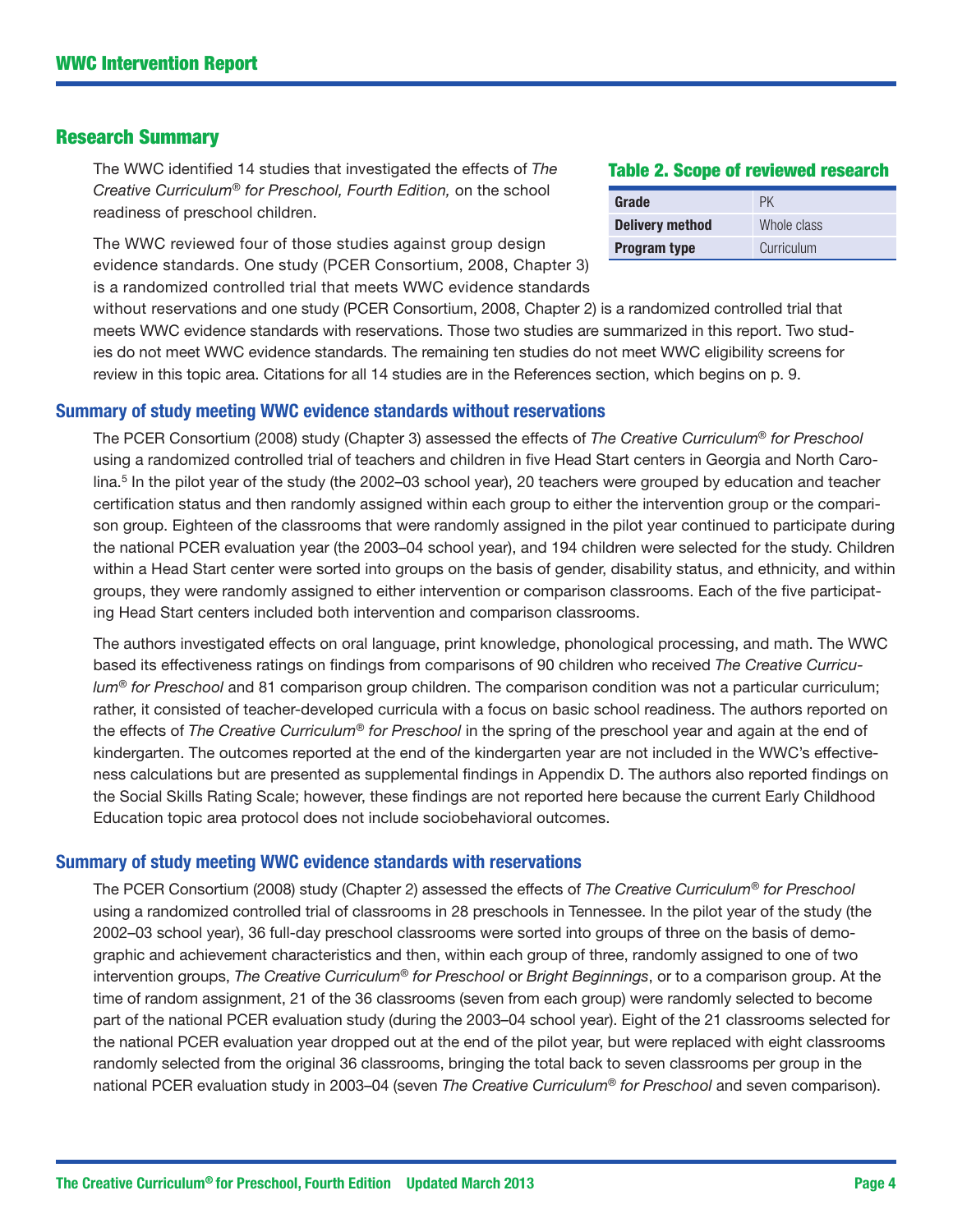#### Research Summary

The WWC identified 14 studies that investigated the effects of *The Creative Curriculum*® *for Preschool, Fourth Edition,* on the school readiness of preschool children.

The WWC reviewed four of those studies against group design evidence standards. One study (PCER Consortium, 2008, Chapter 3) is a randomized controlled trial that meets WWC evidence standards

#### Table 2. Scope of reviewed research

| Grade                  | РK          |
|------------------------|-------------|
| <b>Delivery method</b> | Whole class |
| <b>Program type</b>    | Curriculum  |

without reservations and one study (PCER Consortium, 2008, Chapter 2) is a randomized controlled trial that meets WWC evidence standards with reservations. Those two studies are summarized in this report. Two studies do not meet WWC evidence standards. The remaining ten studies do not meet WWC eligibility screens for review in this topic area. Citations for all 14 studies are in the References section, which begins on p. 9.

#### Summary of study meeting WWC evidence standards without reservations

The PCER Consortium (2008) study (Chapter 3) assessed the effects of *The Creative Curriculum*® *for Preschool*  using a randomized controlled trial of teachers and children in five Head Start centers in Georgia and North Carolina.5 In the pilot year of the study (the 2002–03 school year), 20 teachers were grouped by education and teacher certification status and then randomly assigned within each group to either the intervention group or the comparison group. Eighteen of the classrooms that were randomly assigned in the pilot year continued to participate during the national PCER evaluation year (the 2003–04 school year), and 194 children were selected for the study. Children within a Head Start center were sorted into groups on the basis of gender, disability status, and ethnicity, and within groups, they were randomly assigned to either intervention or comparison classrooms. Each of the five participating Head Start centers included both intervention and comparison classrooms.

The authors investigated effects on oral language, print knowledge, phonological processing, and math. The WWC based its effectiveness ratings on findings from comparisons of 90 children who received *The Creative Curriculum*® *for Preschool* and 81 comparison group children. The comparison condition was not a particular curriculum; rather, it consisted of teacher-developed curricula with a focus on basic school readiness. The authors reported on the effects of *The Creative Curriculum*® *for Preschool* in the spring of the preschool year and again at the end of kindergarten. The outcomes reported at the end of the kindergarten year are not included in the WWC's effectiveness calculations but are presented as supplemental findings in Appendix D. The authors also reported findings on the Social Skills Rating Scale; however, these findings are not reported here because the current Early Childhood Education topic area protocol does not include sociobehavioral outcomes.

#### Summary of study meeting WWC evidence standards with reservations

The PCER Consortium (2008) study (Chapter 2) assessed the effects of *The Creative Curriculum*® *for Preschool*  using a randomized controlled trial of classrooms in 28 preschools in Tennessee. In the pilot year of the study (the 2002–03 school year), 36 full-day preschool classrooms were sorted into groups of three on the basis of demographic and achievement characteristics and then, within each group of three, randomly assigned to one of two intervention groups, *The Creative Curriculum*® *for Preschool* or *Bright Beginnings*, or to a comparison group. At the time of random assignment, 21 of the 36 classrooms (seven from each group) were randomly selected to become part of the national PCER evaluation study (during the 2003–04 school year). Eight of the 21 classrooms selected for the national PCER evaluation year dropped out at the end of the pilot year, but were replaced with eight classrooms randomly selected from the original 36 classrooms, bringing the total back to seven classrooms per group in the national PCER evaluation study in 2003–04 (seven *The Creative Curriculum*® *for Preschool* and seven comparison).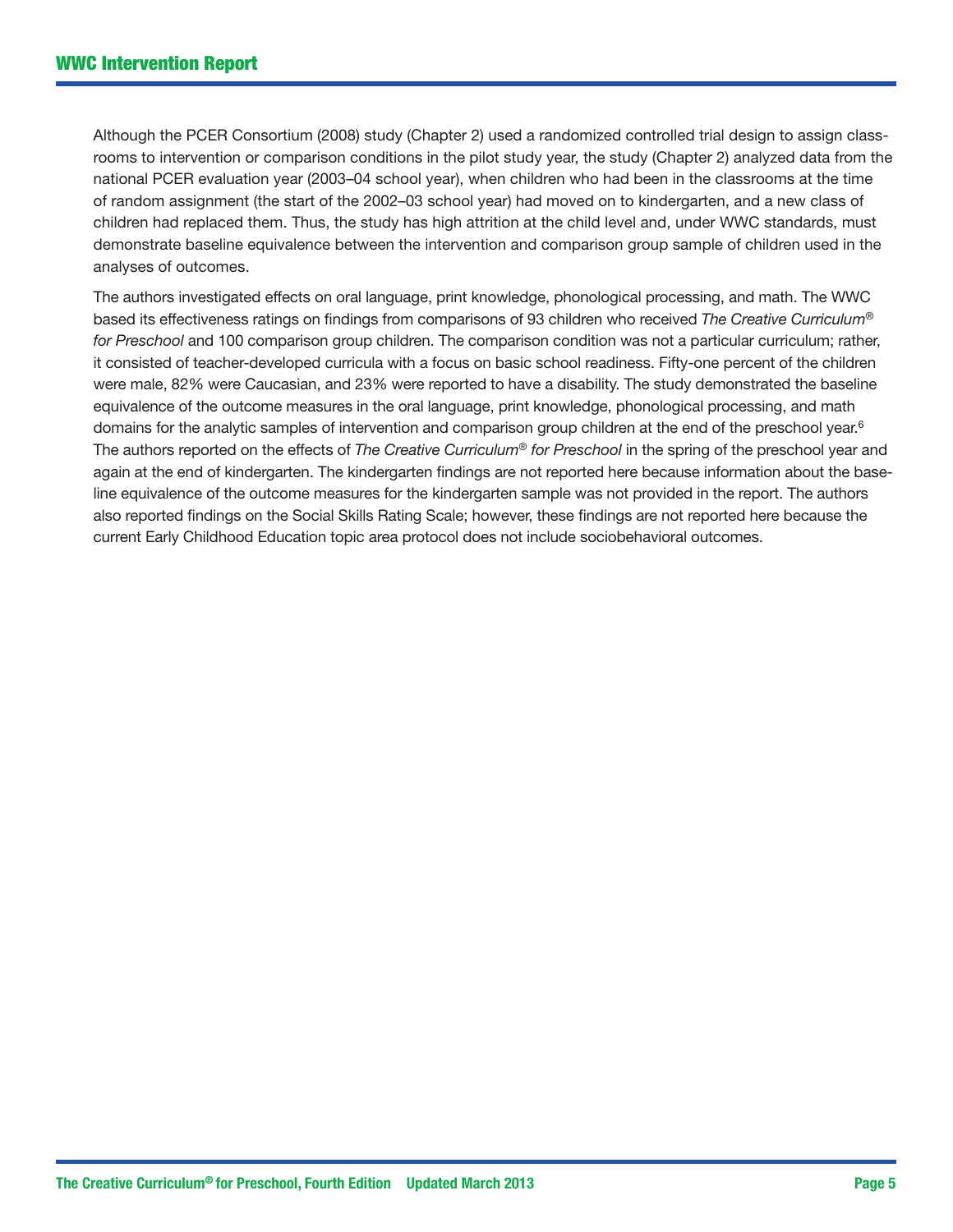Although the PCER Consortium (2008) study (Chapter 2) used a randomized controlled trial design to assign classrooms to intervention or comparison conditions in the pilot study year, the study (Chapter 2) analyzed data from the national PCER evaluation year (2003–04 school year), when children who had been in the classrooms at the time of random assignment (the start of the 2002–03 school year) had moved on to kindergarten, and a new class of children had replaced them. Thus, the study has high attrition at the child level and, under WWC standards, must demonstrate baseline equivalence between the intervention and comparison group sample of children used in the analyses of outcomes.

The authors investigated effects on oral language, print knowledge, phonological processing, and math. The WWC based its effectiveness ratings on findings from comparisons of 93 children who received *The Creative Curriculum*® *for Preschool* and 100 comparison group children. The comparison condition was not a particular curriculum; rather, it consisted of teacher-developed curricula with a focus on basic school readiness. Fifty-one percent of the children were male, 82% were Caucasian, and 23% were reported to have a disability. The study demonstrated the baseline equivalence of the outcome measures in the oral language, print knowledge, phonological processing, and math domains for the analytic samples of intervention and comparison group children at the end of the preschool year.<sup>6</sup> The authors reported on the effects of *The Creative Curriculum*® *for Preschool* in the spring of the preschool year and again at the end of kindergarten. The kindergarten findings are not reported here because information about the baseline equivalence of the outcome measures for the kindergarten sample was not provided in the report. The authors also reported findings on the Social Skills Rating Scale; however, these findings are not reported here because the current Early Childhood Education topic area protocol does not include sociobehavioral outcomes.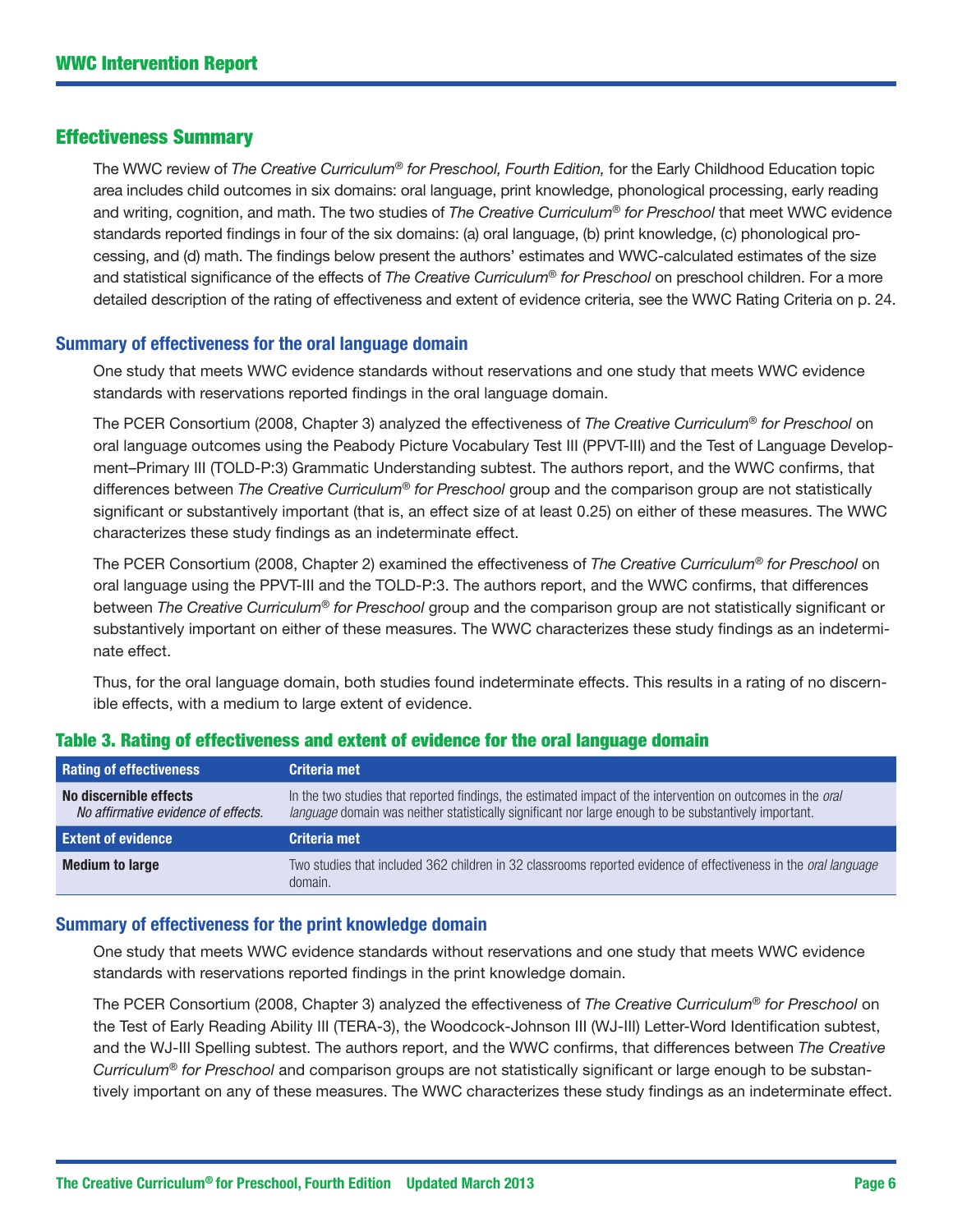### Effectiveness Summary

The WWC review of *The Creative Curriculum*® *for Preschool, Fourth Edition,* for the Early Childhood Education topic area includes child outcomes in six domains: oral language, print knowledge, phonological processing, early reading and writing, cognition, and math. The two studies of *The Creative Curriculum*® *for Preschool* that meet WWC evidence standards reported findings in four of the six domains: (a) oral language, (b) print knowledge, (c) phonological processing, and (d) math. The findings below present the authors' estimates and WWC-calculated estimates of the size and statistical significance of the effects of *The Creative Curriculum*® *for Preschool* on preschool children. For a more detailed description of the rating of effectiveness and extent of evidence criteria, see the WWC Rating Criteria on p. 24.

#### Summary of effectiveness for the oral language domain

One study that meets WWC evidence standards without reservations and one study that meets WWC evidence standards with reservations reported findings in the oral language domain.

The PCER Consortium (2008, Chapter 3) analyzed the effectiveness of *The Creative Curriculum*® *for Preschool* on oral language outcomes using the Peabody Picture Vocabulary Test III (PPVT-III) and the Test of Language Development–Primary III (TOLD-P:3) Grammatic Understanding subtest. The authors report, and the WWC confirms, that differences between *The Creative Curriculum*® *for Preschool* group and the comparison group are not statistically significant or substantively important (that is, an effect size of at least 0.25) on either of these measures. The WWC characterizes these study findings as an indeterminate effect.

The PCER Consortium (2008, Chapter 2) examined the effectiveness of *The Creative Curriculum*® *for Preschool* on oral language using the PPVT-III and the TOLD-P:3. The authors report, and the WWC confirms, that differences between *The Creative Curriculum*® *for Preschool* group and the comparison group are not statistically significant or substantively important on either of these measures. The WWC characterizes these study findings as an indeterminate effect.

Thus, for the oral language domain, both studies found indeterminate effects. This results in a rating of no discernible effects, with a medium to large extent of evidence.

| <b>Rating of effectiveness</b>                                | Criteria met                                                                                                                                                                                                         |
|---------------------------------------------------------------|----------------------------------------------------------------------------------------------------------------------------------------------------------------------------------------------------------------------|
| No discernible effects<br>No affirmative evidence of effects. | In the two studies that reported findings, the estimated impact of the intervention on outcomes in the oral<br>language domain was neither statistically significant nor large enough to be substantively important. |
|                                                               |                                                                                                                                                                                                                      |
| <b>Extent of evidence</b>                                     | Criteria met                                                                                                                                                                                                         |

#### Table 3. Rating of effectiveness and extent of evidence for the oral language domain

#### Summary of effectiveness for the print knowledge domain

One study that meets WWC evidence standards without reservations and one study that meets WWC evidence standards with reservations reported findings in the print knowledge domain.

The PCER Consortium (2008, Chapter 3) analyzed the effectiveness of *The Creative Curriculum*® *for Preschool* on the Test of Early Reading Ability III (TERA-3), the Woodcock-Johnson III (WJ-III) Letter-Word Identification subtest, and the WJ-III Spelling subtest. The authors report, and the WWC confirms, that differences between *The Creative Curriculum*® *for Preschool* and comparison groups are not statistically significant or large enough to be substantively important on any of these measures. The WWC characterizes these study findings as an indeterminate effect.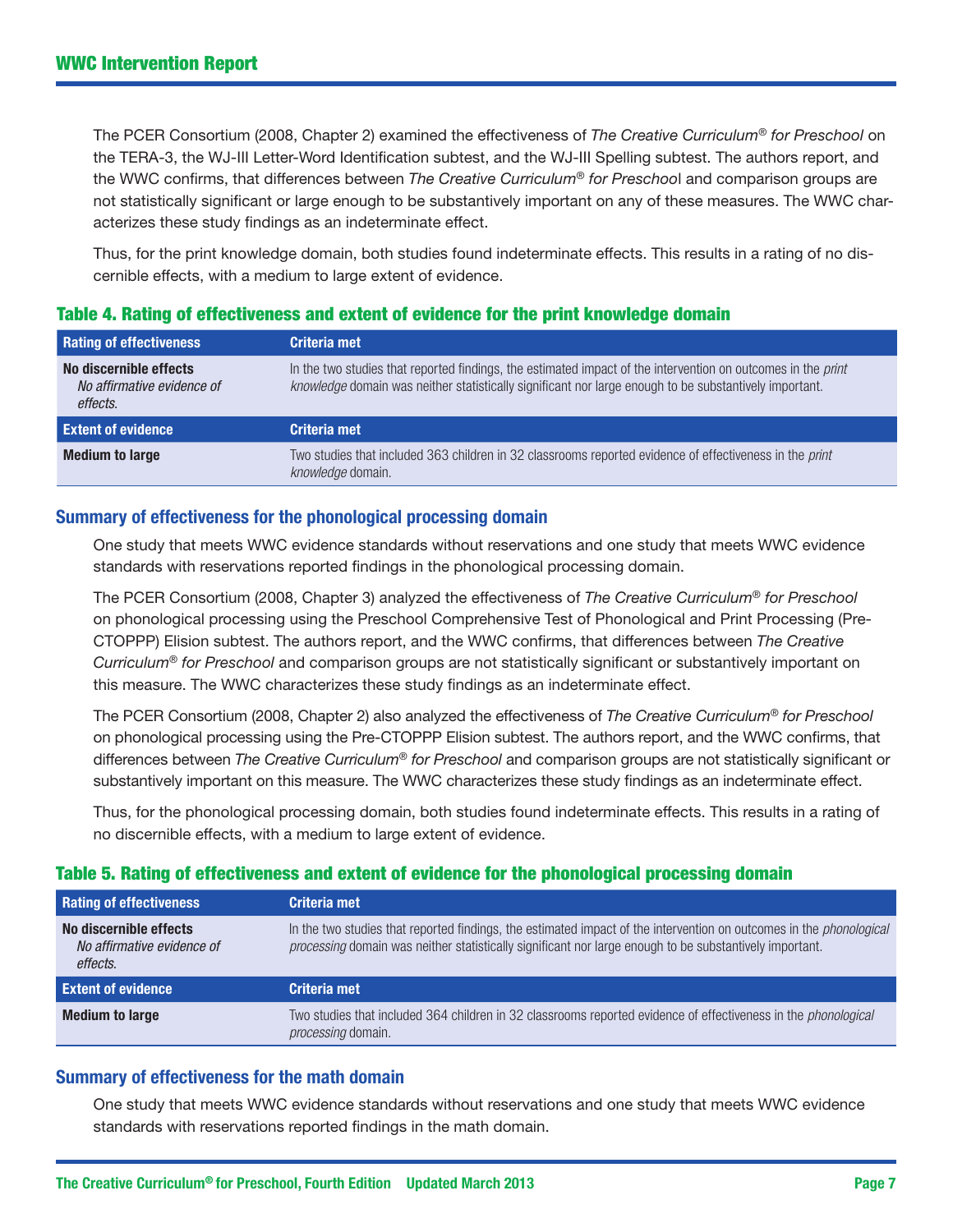The PCER Consortium (2008, Chapter 2) examined the effectiveness of *The Creative Curriculum*® *for Preschool* on the TERA-3, the WJ-III Letter-Word Identification subtest, and the WJ-III Spelling subtest. The authors report, and the WWC confirms, that differences between *The Creative Curriculum*® *for Preschoo*l and comparison groups are not statistically significant or large enough to be substantively important on any of these measures. The WWC characterizes these study findings as an indeterminate effect.

Thus, for the print knowledge domain, both studies found indeterminate effects. This results in a rating of no discernible effects, with a medium to large extent of evidence.

# Table 4. Rating of effectiveness and extent of evidence for the print knowledge domain

| <b>Rating of effectiveness</b>                                   | <b>Criteria met</b>                                                                                                                                                                                                    |
|------------------------------------------------------------------|------------------------------------------------------------------------------------------------------------------------------------------------------------------------------------------------------------------------|
| No discernible effects<br>No affirmative evidence of<br>effects. | In the two studies that reported findings, the estimated impact of the intervention on outcomes in the print<br>knowledge domain was neither statistically significant nor large enough to be substantively important. |
| <b>Extent of evidence</b>                                        | Criteria met                                                                                                                                                                                                           |
| <b>Medium to large</b>                                           | Two studies that included 363 children in 32 classrooms reported evidence of effectiveness in the print<br>knowledge domain.                                                                                           |

# Summary of effectiveness for the phonological processing domain

One study that meets WWC evidence standards without reservations and one study that meets WWC evidence standards with reservations reported findings in the phonological processing domain.

The PCER Consortium (2008, Chapter 3) analyzed the effectiveness of *The Creative Curriculum*® *for Preschool* on phonological processing using the Preschool Comprehensive Test of Phonological and Print Processing (Pre-CTOPPP) Elision subtest. The authors report, and the WWC confirms, that differences between *The Creative Curriculum*® *for Preschool* and comparison groups are not statistically significant or substantively important on this measure. The WWC characterizes these study findings as an indeterminate effect.

The PCER Consortium (2008, Chapter 2) also analyzed the effectiveness of *The Creative Curriculum*® *for Preschool* on phonological processing using the Pre-CTOPPP Elision subtest. The authors report, and the WWC confirms, that differences between *The Creative Curriculum*® *for Preschool* and comparison groups are not statistically significant or substantively important on this measure. The WWC characterizes these study findings as an indeterminate effect.

Thus, for the phonological processing domain, both studies found indeterminate effects. This results in a rating of no discernible effects, with a medium to large extent of evidence.

# Table 5. Rating of effectiveness and extent of evidence for the phonological processing domain

| <b>Rating of effectiveness</b>                                   | Criteria met                                                                                                                                                                                                                          |
|------------------------------------------------------------------|---------------------------------------------------------------------------------------------------------------------------------------------------------------------------------------------------------------------------------------|
| No discernible effects<br>No affirmative evidence of<br>effects. | In the two studies that reported findings, the estimated impact of the intervention on outcomes in the <i>phonological</i><br>processing domain was neither statistically significant nor large enough to be substantively important. |
| <b>Extent of evidence</b>                                        | Criteria met                                                                                                                                                                                                                          |
| <b>Medium to large</b>                                           | Two studies that included 364 children in 32 classrooms reported evidence of effectiveness in the <i>phonological</i><br>processing domain.                                                                                           |

# Summary of effectiveness for the math domain

One study that meets WWC evidence standards without reservations and one study that meets WWC evidence standards with reservations reported findings in the math domain.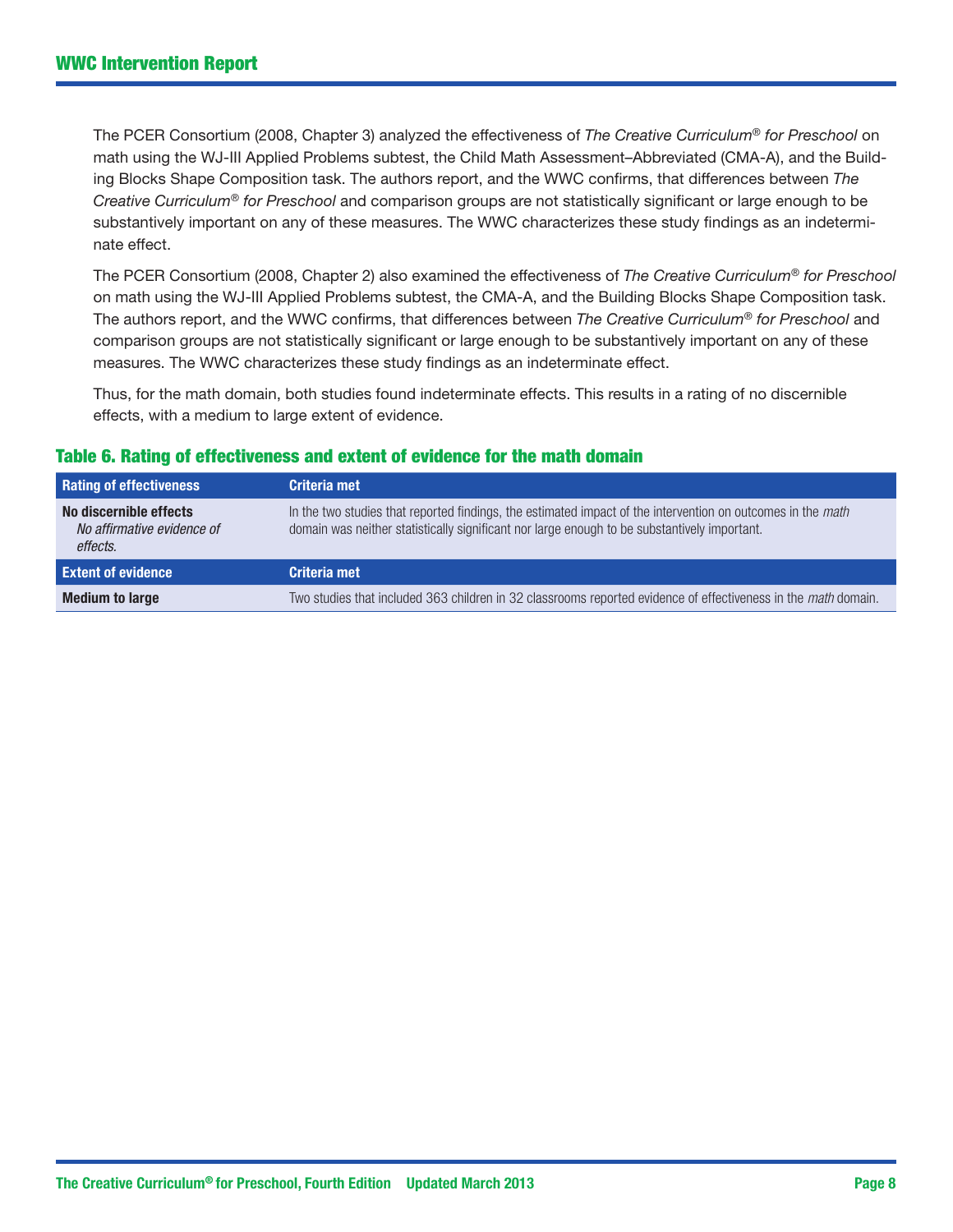The PCER Consortium (2008, Chapter 3) analyzed the effectiveness of *The Creative Curriculum*® *for Preschool* on math using the WJ-III Applied Problems subtest, the Child Math Assessment–Abbreviated (CMA-A), and the Building Blocks Shape Composition task. The authors report, and the WWC confirms, that differences between *The Creative Curriculum*® *for Preschool* and comparison groups are not statistically significant or large enough to be substantively important on any of these measures. The WWC characterizes these study findings as an indeterminate effect.

The PCER Consortium (2008, Chapter 2) also examined the effectiveness of *The Creative Curriculum*® *for Preschool* on math using the WJ-III Applied Problems subtest, the CMA-A, and the Building Blocks Shape Composition task. The authors report, and the WWC confirms, that differences between *The Creative Curriculum*® *for Preschool* and comparison groups are not statistically significant or large enough to be substantively important on any of these measures. The WWC characterizes these study findings as an indeterminate effect.

Thus, for the math domain, both studies found indeterminate effects. This results in a rating of no discernible effects, with a medium to large extent of evidence.

### Table 6. Rating of effectiveness and extent of evidence for the math domain

| <b>Rating of effectiveness</b>                                   | Criteria met                                                                                                                                                                                                |
|------------------------------------------------------------------|-------------------------------------------------------------------------------------------------------------------------------------------------------------------------------------------------------------|
| No discernible effects<br>No affirmative evidence of<br>effects. | In the two studies that reported findings, the estimated impact of the intervention on outcomes in the math<br>domain was neither statistically significant nor large enough to be substantively important. |
| <b>Extent of evidence</b>                                        | Criteria met                                                                                                                                                                                                |
| <b>Medium to large</b>                                           | Two studies that included 363 children in 32 classrooms reported evidence of effectiveness in the math domain.                                                                                              |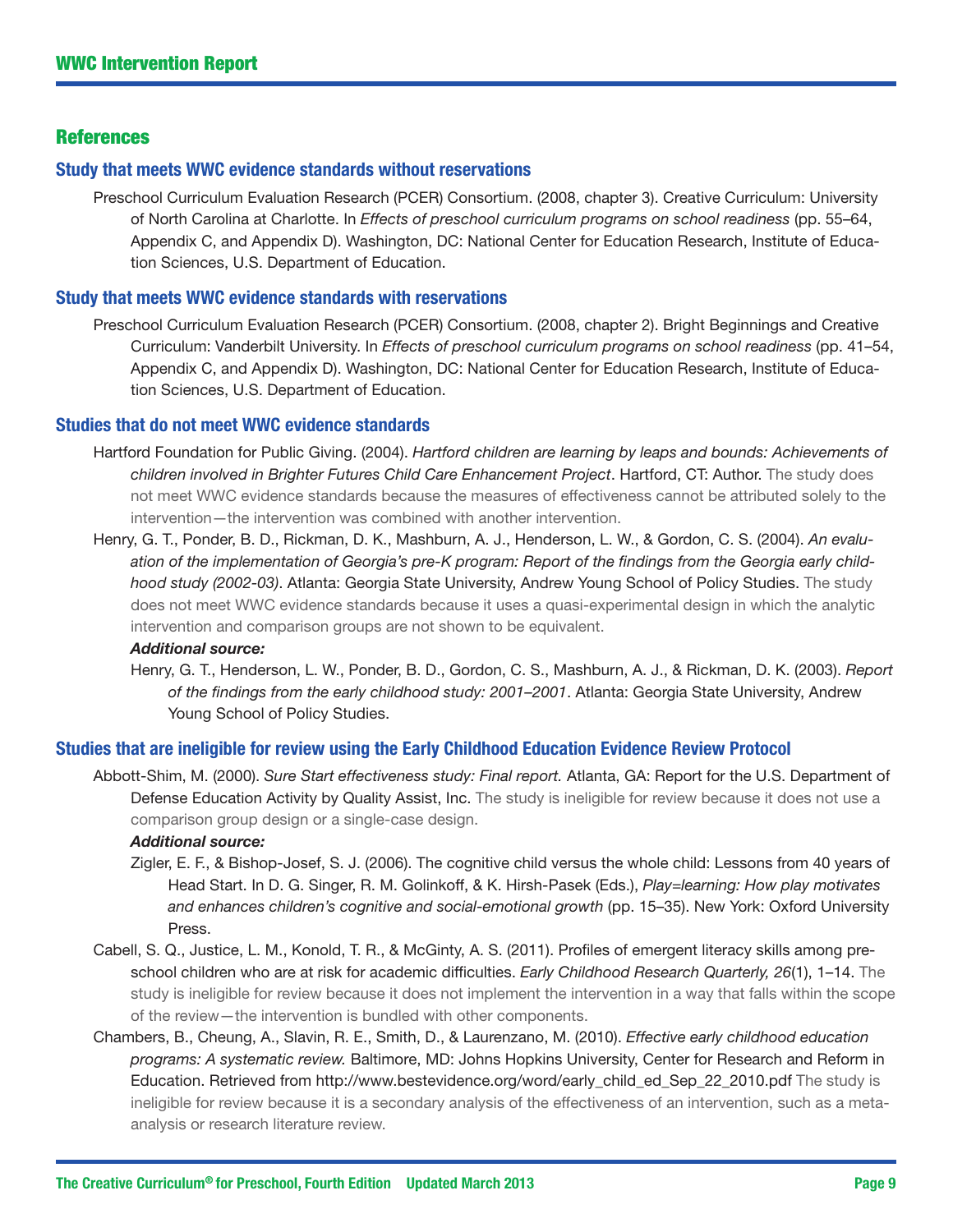# **References**

#### Study that meets WWC evidence standards without reservations

Preschool Curriculum Evaluation Research (PCER) Consortium. (2008, chapter 3). Creative Curriculum: University of North Carolina at Charlotte. In *Effects of preschool curriculum programs on school readiness* (pp. 55–64, Appendix C, and Appendix D). Washington, DC: National Center for Education Research, Institute of Education Sciences, U.S. Department of Education.

#### Study that meets WWC evidence standards with reservations

Preschool Curriculum Evaluation Research (PCER) Consortium. (2008, chapter 2). Bright Beginnings and Creative Curriculum: Vanderbilt University. In *Effects of preschool curriculum programs on school readiness* (pp. 41–54, Appendix C, and Appendix D). Washington, DC: National Center for Education Research, Institute of Education Sciences, U.S. Department of Education.

#### Studies that do not meet WWC evidence standards

- Hartford Foundation for Public Giving. (2004). *Hartford children are learning by leaps and bounds: Achievements of children involved in Brighter Futures Child Care Enhancement Project*. Hartford, CT: Author. The study does not meet WWC evidence standards because the measures of effectiveness cannot be attributed solely to the intervention—the intervention was combined with another intervention.
- Henry, G. T., Ponder, B. D., Rickman, D. K., Mashburn, A. J., Henderson, L. W., & Gordon, C. S. (2004). *An evaluation of the implementation of Georgia's pre-K program: Report of the findings from the Georgia early childhood study (2002-03)*. Atlanta: Georgia State University, Andrew Young School of Policy Studies. The study does not meet WWC evidence standards because it uses a quasi-experimental design in which the analytic intervention and comparison groups are not shown to be equivalent.

#### *Additional source:*

Henry, G. T., Henderson, L. W., Ponder, B. D., Gordon, C. S., Mashburn, A. J., & Rickman, D. K. (2003). *Report of the findings from the early childhood study: 2001–2001*. Atlanta: Georgia State University, Andrew Young School of Policy Studies.

#### Studies that are ineligible for review using the Early Childhood Education Evidence Review Protocol

Abbott-Shim, M. (2000). *Sure Start effectiveness study: Final report.* Atlanta, GA: Report for the U.S. Department of Defense Education Activity by Quality Assist, Inc. The study is ineligible for review because it does not use a comparison group design or a single-case design.

#### *Additional source:*

- Zigler, E. F., & Bishop-Josef, S. J. (2006). The cognitive child versus the whole child: Lessons from 40 years of Head Start. In D. G. Singer, R. M. Golinkoff, & K. Hirsh-Pasek (Eds.), *Play=learning: How play motivates and enhances children's cognitive and social-emotional growth* (pp. 15–35). New York: Oxford University Press.
- Cabell, S. Q., Justice, L. M., Konold, T. R., & McGinty, A. S. (2011). Profiles of emergent literacy skills among preschool children who are at risk for academic difficulties. *Early Childhood Research Quarterly, 26*(1), 1–14. The study is ineligible for review because it does not implement the intervention in a way that falls within the scope of the review—the intervention is bundled with other components.
- Chambers, B., Cheung, A., Slavin, R. E., Smith, D., & Laurenzano, M. (2010). *Effective early childhood education programs: A systematic review.* Baltimore, MD: Johns Hopkins University, Center for Research and Reform in Education. Retrieved from [http://www.bestevidence.org/word/early\\_child\\_ed\\_Sep\\_22\\_2010.pdf](http://www.bestevidence.org/word/early_child_ed_Sep_22_2010.pdf) The study is ineligible for review because it is a secondary analysis of the effectiveness of an intervention, such as a metaanalysis or research literature review.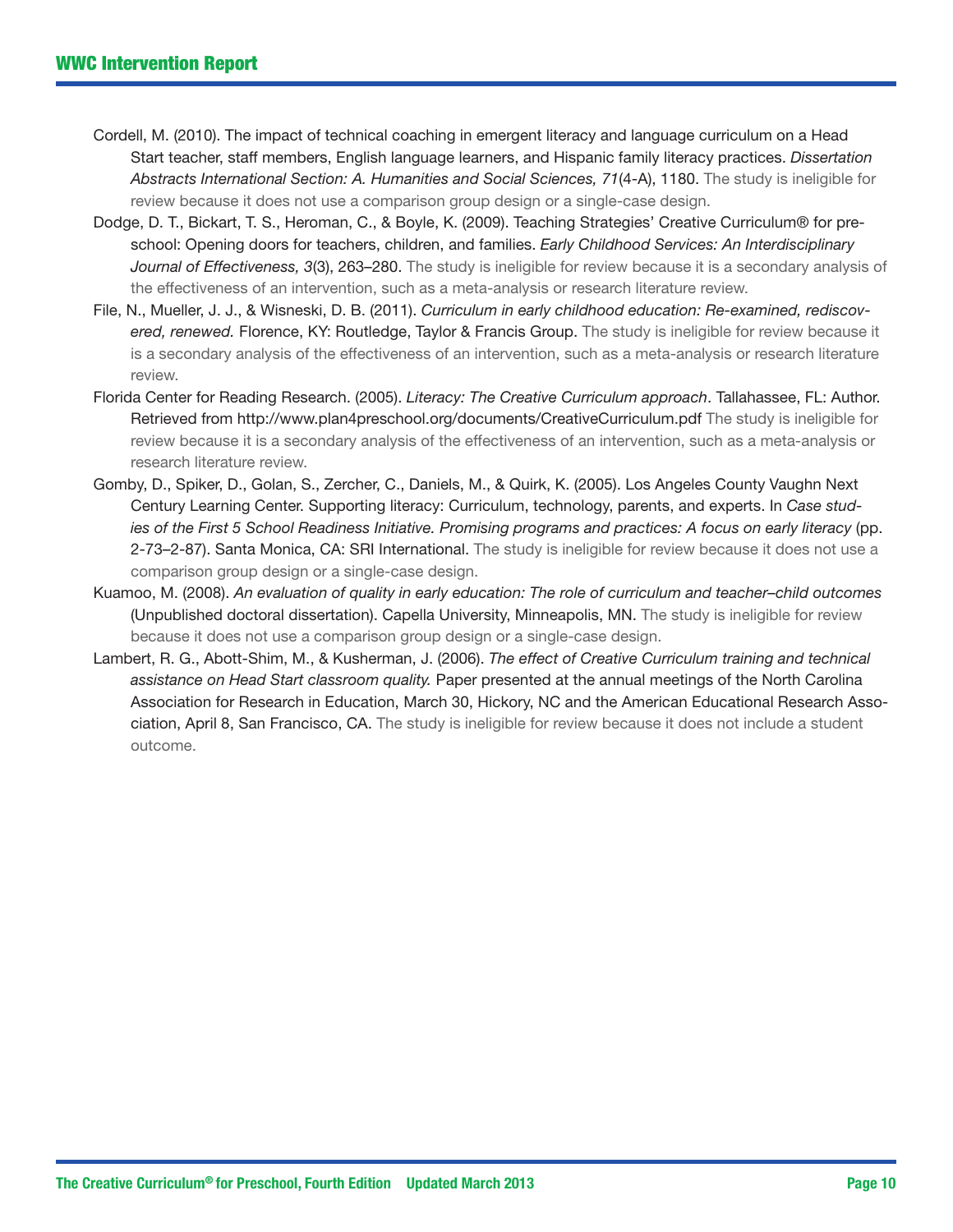- Cordell, M. (2010). The impact of technical coaching in emergent literacy and language curriculum on a Head Start teacher, staff members, English language learners, and Hispanic family literacy practices. *Dissertation Abstracts International Section: A. Humanities and Social Sciences, 71*(4-A), 1180. The study is ineligible for review because it does not use a comparison group design or a single-case design.
- Dodge, D. T., Bickart, T. S., Heroman, C., & Boyle, K. (2009). Teaching Strategies' Creative Curriculum® for preschool: Opening doors for teachers, children, and families. *Early Childhood Services: An Interdisciplinary Journal of Effectiveness, 3*(3), 263–280. The study is ineligible for review because it is a secondary analysis of the effectiveness of an intervention, such as a meta-analysis or research literature review.
- File, N., Mueller, J. J., & Wisneski, D. B. (2011). *Curriculum in early childhood education: Re-examined, rediscovered, renewed.* Florence, KY: Routledge, Taylor & Francis Group. The study is ineligible for review because it is a secondary analysis of the effectiveness of an intervention, such as a meta-analysis or research literature review.
- Florida Center for Reading Research. (2005). *Literacy: The Creative Curriculum approach*. Tallahassee, FL: Author. Retrieved from <http://www.plan4preschool.org/documents/CreativeCurriculum.pdf> The study is ineligible for review because it is a secondary analysis of the effectiveness of an intervention, such as a meta-analysis or research literature review.
- Gomby, D., Spiker, D., Golan, S., Zercher, C., Daniels, M., & Quirk, K. (2005). Los Angeles County Vaughn Next Century Learning Center. Supporting literacy: Curriculum, technology, parents, and experts. In *Case studies of the First 5 School Readiness Initiative. Promising programs and practices: A focus on early literacy* (pp. 2-73–2-87). Santa Monica, CA: SRI International. The study is ineligible for review because it does not use a comparison group design or a single-case design.
- Kuamoo, M. (2008). *An evaluation of quality in early education: The role of curriculum and teacher–child outcomes* (Unpublished doctoral dissertation). Capella University, Minneapolis, MN. The study is ineligible for review because it does not use a comparison group design or a single-case design.
- Lambert, R. G., Abott-Shim, M., & Kusherman, J. (2006). *The effect of Creative Curriculum training and technical assistance on Head Start classroom quality.* Paper presented at the annual meetings of the North Carolina Association for Research in Education, March 30, Hickory, NC and the American Educational Research Association, April 8, San Francisco, CA. The study is ineligible for review because it does not include a student outcome.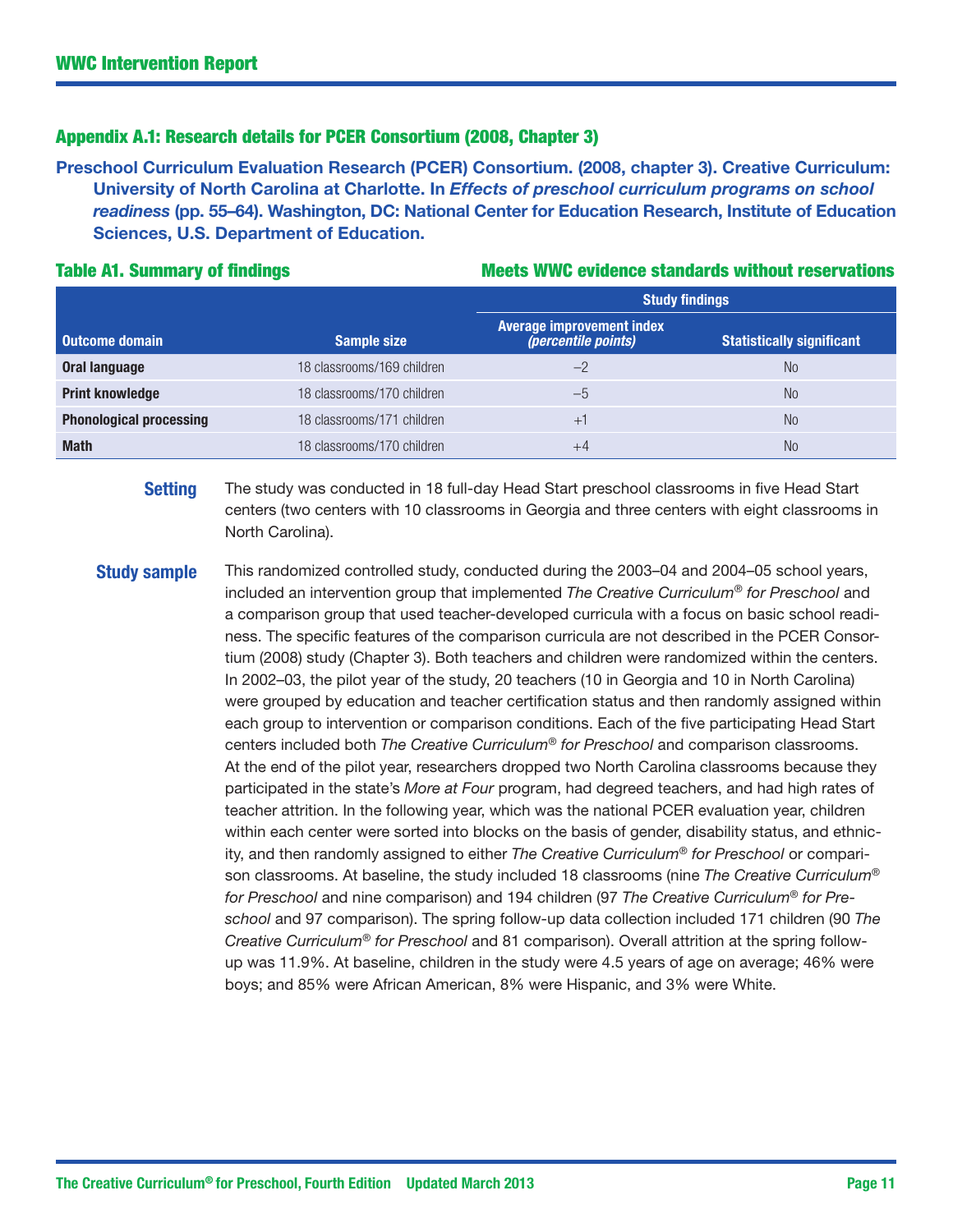### Appendix A.1: Research details for PCER Consortium (2008, Chapter 3)

Preschool Curriculum Evaluation Research (PCER) Consortium. (2008, chapter 3). Creative Curriculum: University of North Carolina at Charlotte. In *Effects of preschool curriculum programs on school readiness* (pp. 55–64). Washington, DC: National Center for Education Research, Institute of Education Sciences, U.S. Department of Education.

#### Table A1. Summary of findings Table A1. Summary of findings Music metal of Meets WWC evidence standards without reservations

|                                |                            | <b>Study findings</b>                                          |                                  |  |  |
|--------------------------------|----------------------------|----------------------------------------------------------------|----------------------------------|--|--|
| <b>Outcome domain</b>          | <b>Sample size</b>         | <b>Average improvement index</b><br><i>(percentile points)</i> | <b>Statistically significant</b> |  |  |
| <b>Oral language</b>           | 18 classrooms/169 children | $-2$                                                           | No.                              |  |  |
| <b>Print knowledge</b>         | 18 classrooms/170 children | $-5$                                                           | No.                              |  |  |
| <b>Phonological processing</b> | 18 classrooms/171 children | $+1$                                                           | N <sub>0</sub>                   |  |  |
| <b>Math</b>                    | 18 classrooms/170 children | $+4$                                                           | No                               |  |  |

**Setting** The study was conducted in 18 full-day Head Start preschool classrooms in five Head Start centers (two centers with 10 classrooms in Georgia and three centers with eight classrooms in North Carolina).

**Study sample** This randomized controlled study, conducted during the 2003–04 and 2004–05 school years, included an intervention group that implemented *The Creative Curriculum*® *for Preschool* and a comparison group that used teacher-developed curricula with a focus on basic school readiness. The specific features of the comparison curricula are not described in the PCER Consortium (2008) study (Chapter 3). Both teachers and children were randomized within the centers. In 2002–03, the pilot year of the study, 20 teachers (10 in Georgia and 10 in North Carolina) were grouped by education and teacher certification status and then randomly assigned within each group to intervention or comparison conditions. Each of the five participating Head Start centers included both *The Creative Curriculum*® *for Preschool* and comparison classrooms. At the end of the pilot year, researchers dropped two North Carolina classrooms because they participated in the state's *More at Four* program, had degreed teachers, and had high rates of teacher attrition. In the following year, which was the national PCER evaluation year, children within each center were sorted into blocks on the basis of gender, disability status, and ethnicity, and then randomly assigned to either *The Creative Curriculum*® *for Preschool* or comparison classrooms. At baseline, the study included 18 classrooms (nine *The Creative Curriculum*® *for Preschool* and nine comparison) and 194 children (97 *The Creative Curriculum*® *for Preschool* and 97 comparison). The spring follow-up data collection included 171 children (90 *The Creative Curriculum*® *for Preschool* and 81 comparison). Overall attrition at the spring followup was 11.9%. At baseline, children in the study were 4.5 years of age on average; 46% were boys; and 85% were African American, 8% were Hispanic, and 3% were White.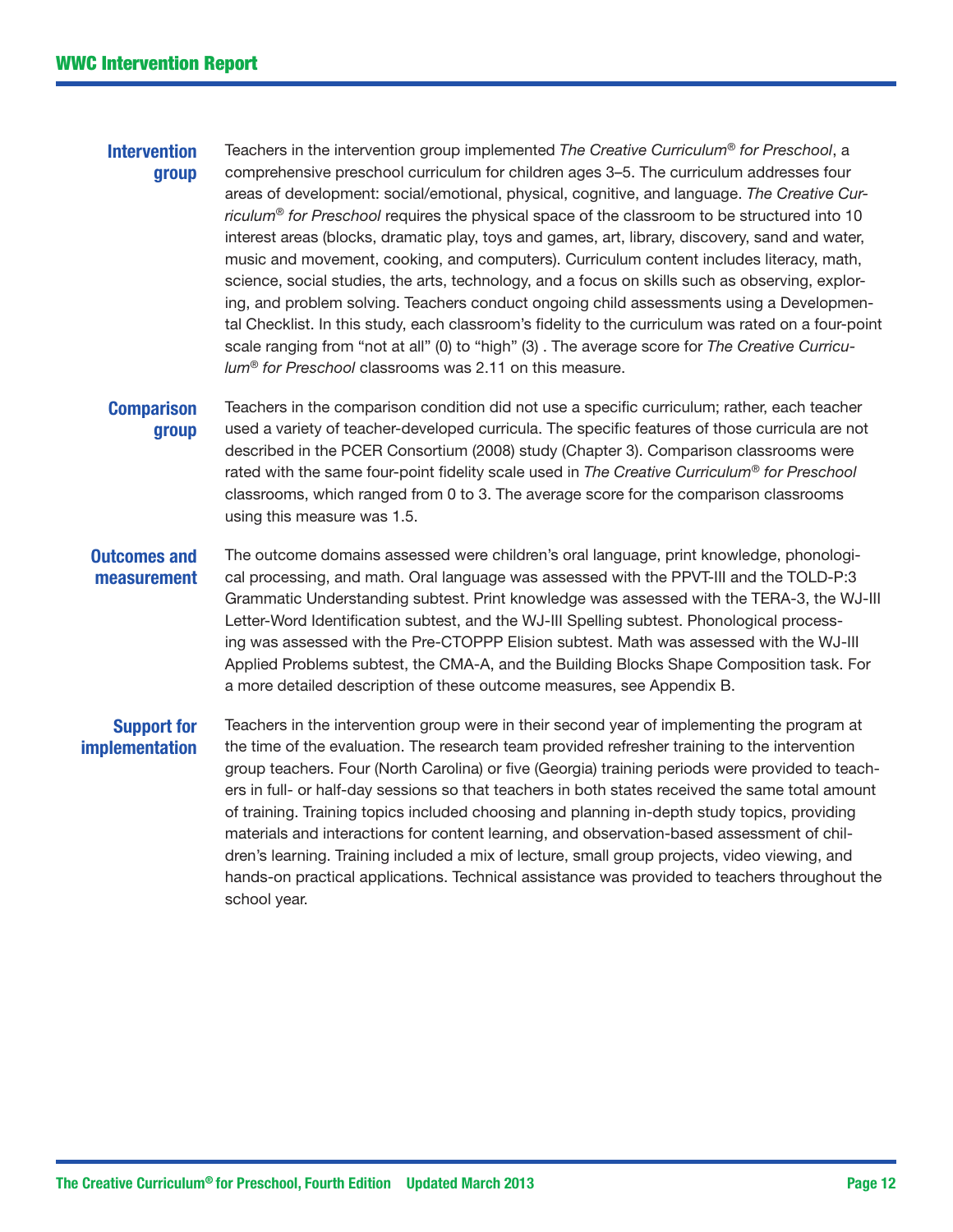#### **Intervention** group

Teachers in the intervention group implemented *The Creative Curriculum*® *for Preschool*, a comprehensive preschool curriculum for children ages 3–5. The curriculum addresses four areas of development: social/emotional, physical, cognitive, and language. *The Creative Curriculum*® *for Preschool* requires the physical space of the classroom to be structured into 10 interest areas (blocks, dramatic play, toys and games, art, library, discovery, sand and water, music and movement, cooking, and computers). Curriculum content includes literacy, math, science, social studies, the arts, technology, and a focus on skills such as observing, exploring, and problem solving. Teachers conduct ongoing child assessments using a Developmental Checklist. In this study, each classroom's fidelity to the curriculum was rated on a four-point scale ranging from "not at all" (0) to "high" (3) . The average score for *The Creative Curriculum*® *for Preschool* classrooms was 2.11 on this measure.

#### **Comparison** group Teachers in the comparison condition did not use a specific curriculum; rather, each teacher used a variety of teacher-developed curricula. The specific features of those curricula are not described in the PCER Consortium (2008) study (Chapter 3). Comparison classrooms were rated with the same four-point fidelity scale used in *The Creative Curriculum*® *for Preschool* classrooms, which ranged from 0 to 3. The average score for the comparison classrooms using this measure was 1.5.

#### Outcomes and measurement The outcome domains assessed were children's oral language, print knowledge, phonological processing, and math. Oral language was assessed with the PPVT-III and the TOLD-P:3 Grammatic Understanding subtest. Print knowledge was assessed with the TERA-3, the WJ-III Letter-Word Identification subtest, and the WJ-III Spelling subtest. Phonological processing was assessed with the Pre-CTOPPP Elision subtest. Math was assessed with the WJ-III Applied Problems subtest, the CMA-A, and the Building Blocks Shape Composition task. For a more detailed description of these outcome measures, see Appendix B.

# Support for implementation

Teachers in the intervention group were in their second year of implementing the program at the time of the evaluation. The research team provided refresher training to the intervention group teachers. Four (North Carolina) or five (Georgia) training periods were provided to teachers in full- or half-day sessions so that teachers in both states received the same total amount of training. Training topics included choosing and planning in-depth study topics, providing materials and interactions for content learning, and observation-based assessment of children's learning. Training included a mix of lecture, small group projects, video viewing, and hands-on practical applications. Technical assistance was provided to teachers throughout the school year.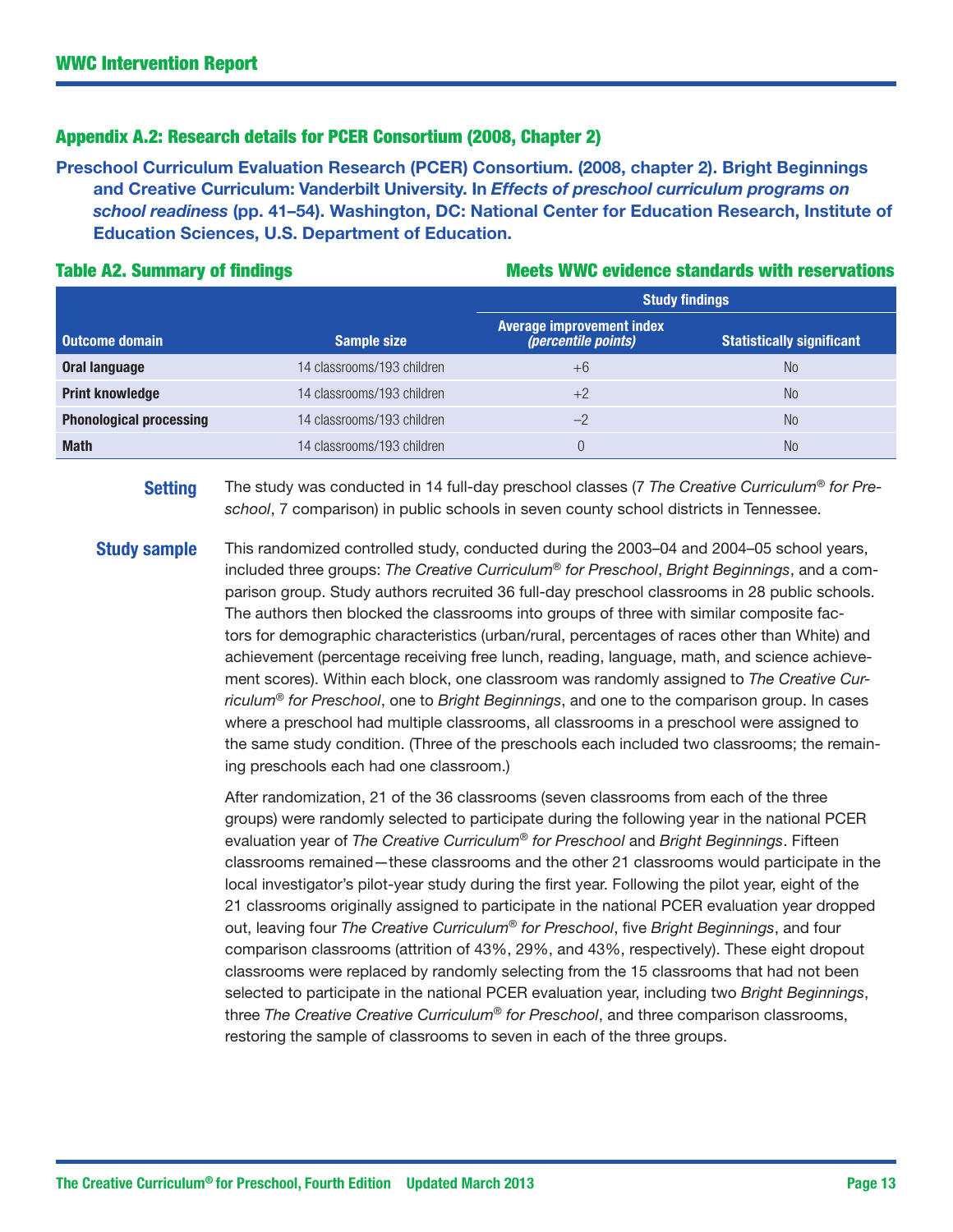### Appendix A.2: Research details for PCER Consortium (2008, Chapter 2)

Preschool Curriculum Evaluation Research (PCER) Consortium. (2008, chapter 2). Bright Beginnings and Creative Curriculum: Vanderbilt University. In *Effects of preschool curriculum programs on school readiness* (pp. 41–54). Washington, DC: National Center for Education Research, Institute of Education Sciences, U.S. Department of Education.

#### Table A2. Summary of findings Table A2. Summary of findings Meets WWC evidence standards with reservations

|                                |                            | <b>Study findings</b>                                          |                                  |  |  |
|--------------------------------|----------------------------|----------------------------------------------------------------|----------------------------------|--|--|
| <b>Outcome domain</b>          | <b>Sample size</b>         | <b>Average improvement index</b><br><i>(percentile points)</i> | <b>Statistically significant</b> |  |  |
| Oral language                  | 14 classrooms/193 children | $+6$                                                           | No.                              |  |  |
| <b>Print knowledge</b>         | 14 classrooms/193 children | $+2$                                                           | No.                              |  |  |
| <b>Phonological processing</b> | 14 classrooms/193 children | $-2$                                                           | No.                              |  |  |
| <b>Math</b>                    | 14 classrooms/193 children |                                                                | No.                              |  |  |

Setting The study was conducted in 14 full-day preschool classes (7 *The Creative Curriculum*® *for Preschool*, 7 comparison) in public schools in seven county school districts in Tennessee.

**Study sample** This randomized controlled study, conducted during the 2003–04 and 2004–05 school years, included three groups: *The Creative Curriculum*® *for Preschool*, *Bright Beginnings*, and a comparison group. Study authors recruited 36 full-day preschool classrooms in 28 public schools. The authors then blocked the classrooms into groups of three with similar composite factors for demographic characteristics (urban/rural, percentages of races other than White) and achievement (percentage receiving free lunch, reading, language, math, and science achievement scores). Within each block, one classroom was randomly assigned to *The Creative Curriculum*® *for Preschool*, one to *Bright Beginnings*, and one to the comparison group. In cases where a preschool had multiple classrooms, all classrooms in a preschool were assigned to the same study condition. (Three of the preschools each included two classrooms; the remaining preschools each had one classroom.)

> After randomization, 21 of the 36 classrooms (seven classrooms from each of the three groups) were randomly selected to participate during the following year in the national PCER evaluation year of *The Creative Curriculum*® *for Preschool* and *Bright Beginnings*. Fifteen classrooms remained—these classrooms and the other 21 classrooms would participate in the local investigator's pilot-year study during the first year. Following the pilot year, eight of the 21 classrooms originally assigned to participate in the national PCER evaluation year dropped out, leaving four *The Creative Curriculum*® *for Preschool*, five *Bright Beginnings*, and four comparison classrooms (attrition of 43%, 29%, and 43%, respectively). These eight dropout classrooms were replaced by randomly selecting from the 15 classrooms that had not been selected to participate in the national PCER evaluation year, including two *Bright Beginnings*, three *The Creative Creative Curriculum*® *for Preschool*, and three comparison classrooms, restoring the sample of classrooms to seven in each of the three groups.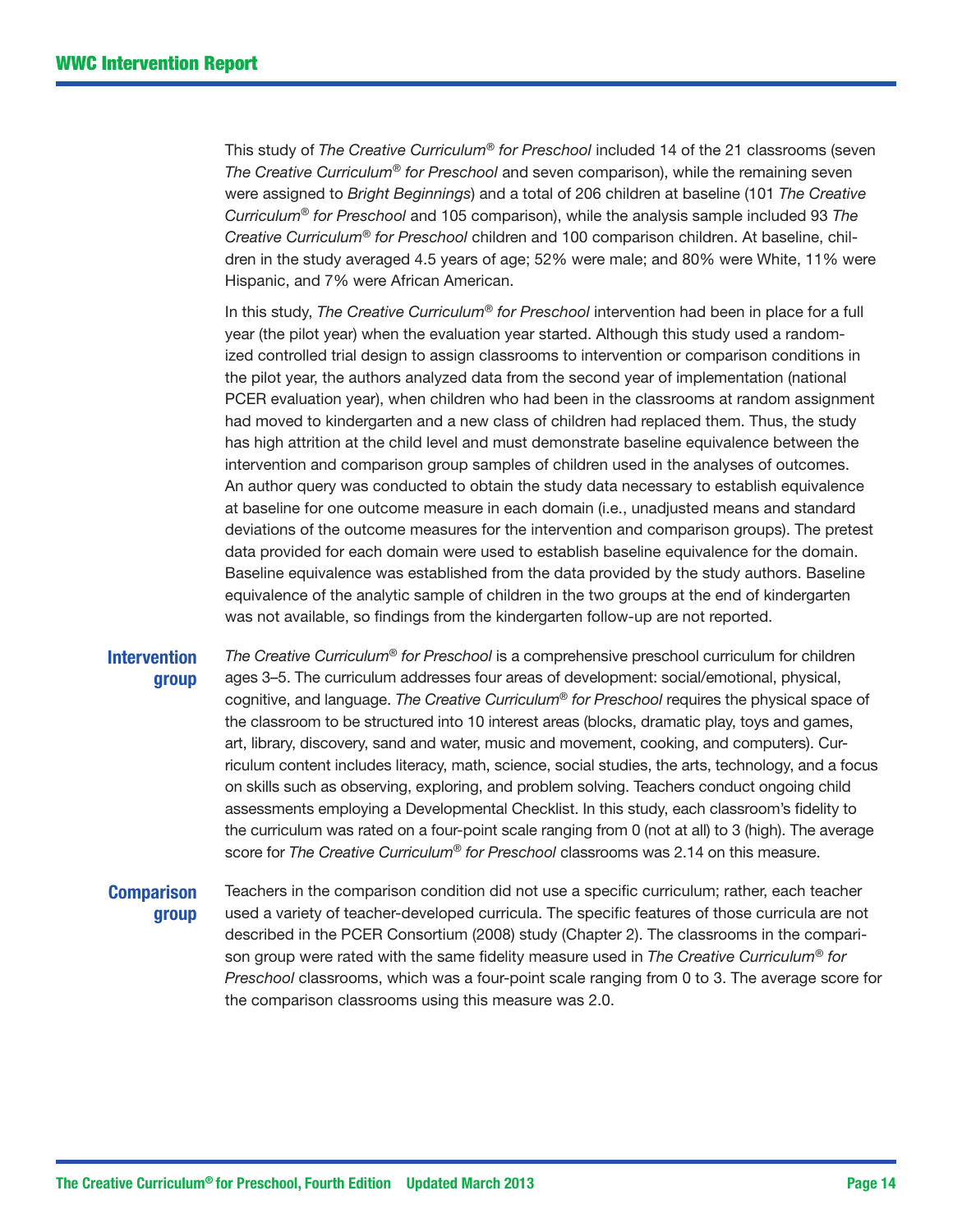This study of *The Creative Curriculum*® *for Preschool* included 14 of the 21 classrooms (seven *The Creative Curriculum*® *for Preschool* and seven comparison), while the remaining seven were assigned to *Bright Beginnings*) and a total of 206 children at baseline (101 *The Creative Curriculum*® *for Preschool* and 105 comparison), while the analysis sample included 93 *The Creative Curriculum*® *for Preschool* children and 100 comparison children. At baseline, children in the study averaged 4.5 years of age; 52% were male; and 80% were White, 11% were Hispanic, and 7% were African American.

In this study, *The Creative Curriculum*® *for Preschool* intervention had been in place for a full year (the pilot year) when the evaluation year started. Although this study used a randomized controlled trial design to assign classrooms to intervention or comparison conditions in the pilot year, the authors analyzed data from the second year of implementation (national PCER evaluation year), when children who had been in the classrooms at random assignment had moved to kindergarten and a new class of children had replaced them. Thus, the study has high attrition at the child level and must demonstrate baseline equivalence between the intervention and comparison group samples of children used in the analyses of outcomes. An author query was conducted to obtain the study data necessary to establish equivalence at baseline for one outcome measure in each domain (i.e., unadjusted means and standard deviations of the outcome measures for the intervention and comparison groups). The pretest data provided for each domain were used to establish baseline equivalence for the domain. Baseline equivalence was established from the data provided by the study authors. Baseline equivalence of the analytic sample of children in the two groups at the end of kindergarten was not available, so findings from the kindergarten follow-up are not reported.

#### **Intervention** group

*The Creative Curriculum*® *for Preschool* is a comprehensive preschool curriculum for children ages 3–5. The curriculum addresses four areas of development: social/emotional, physical, cognitive, and language. *The Creative Curriculum*® *for Preschool* requires the physical space of the classroom to be structured into 10 interest areas (blocks, dramatic play, toys and games, art, library, discovery, sand and water, music and movement, cooking, and computers). Curriculum content includes literacy, math, science, social studies, the arts, technology, and a focus on skills such as observing, exploring, and problem solving. Teachers conduct ongoing child assessments employing a Developmental Checklist. In this study, each classroom's fidelity to the curriculum was rated on a four-point scale ranging from 0 (not at all) to 3 (high). The average score for *The Creative Curriculum*® *for Preschool* classrooms was 2.14 on this measure.

### **Comparison** group

Teachers in the comparison condition did not use a specific curriculum; rather, each teacher used a variety of teacher-developed curricula. The specific features of those curricula are not described in the PCER Consortium (2008) study (Chapter 2). The classrooms in the comparison group were rated with the same fidelity measure used in *The Creative Curriculum*® *for Preschool* classrooms, which was a four-point scale ranging from 0 to 3. The average score for the comparison classrooms using this measure was 2.0.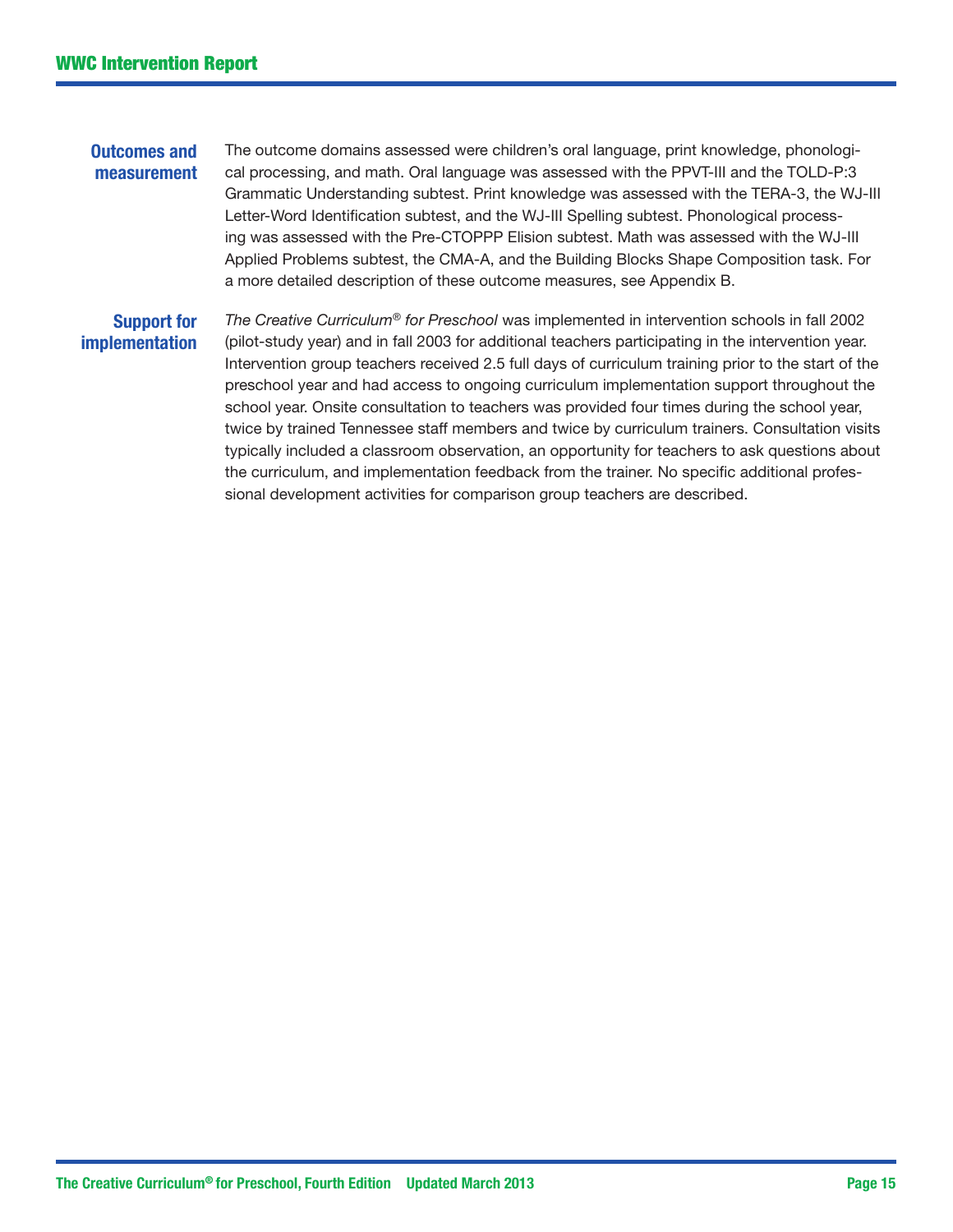#### Outcomes and measurement The outcome domains assessed were children's oral language, print knowledge, phonological processing, and math. Oral language was assessed with the PPVT-III and the TOLD-P:3 Grammatic Understanding subtest. Print knowledge was assessed with the TERA-3, the WJ-III Letter-Word Identification subtest, and the WJ-III Spelling subtest. Phonological processing was assessed with the Pre-CTOPPP Elision subtest. Math was assessed with the WJ-III Applied Problems subtest, the CMA-A, and the Building Blocks Shape Composition task. For a more detailed description of these outcome measures, see Appendix B.

# Support for implementation

*The Creative Curriculum*® *for Preschool* was implemented in intervention schools in fall 2002 (pilot-study year) and in fall 2003 for additional teachers participating in the intervention year. Intervention group teachers received 2.5 full days of curriculum training prior to the start of the preschool year and had access to ongoing curriculum implementation support throughout the school year. Onsite consultation to teachers was provided four times during the school year, twice by trained Tennessee staff members and twice by curriculum trainers. Consultation visits typically included a classroom observation, an opportunity for teachers to ask questions about the curriculum, and implementation feedback from the trainer. No specific additional professional development activities for comparison group teachers are described.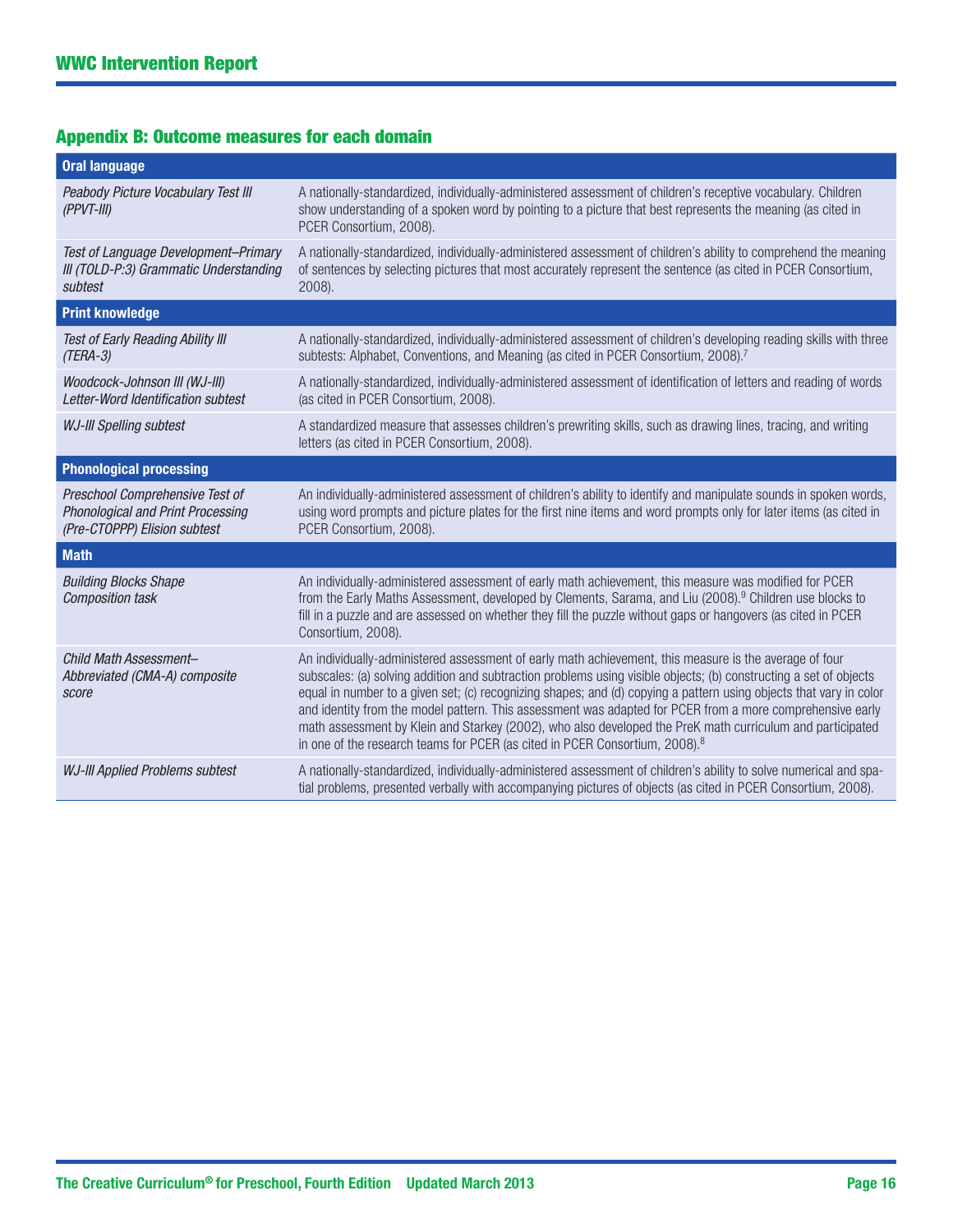# Appendix B: Outcome measures for each domain

| <b>Oral language</b>                                                                                 |                                                                                                                                                                                                                                                                                                                                                                                                                                                                                                                                                                                                                                                                        |
|------------------------------------------------------------------------------------------------------|------------------------------------------------------------------------------------------------------------------------------------------------------------------------------------------------------------------------------------------------------------------------------------------------------------------------------------------------------------------------------------------------------------------------------------------------------------------------------------------------------------------------------------------------------------------------------------------------------------------------------------------------------------------------|
| Peabody Picture Vocabulary Test III<br>$(PPVT-III)$                                                  | A nationally-standardized, individually-administered assessment of children's receptive vocabulary. Children<br>show understanding of a spoken word by pointing to a picture that best represents the meaning (as cited in<br>PCER Consortium, 2008).                                                                                                                                                                                                                                                                                                                                                                                                                  |
| Test of Language Development-Primary<br>III (TOLD-P:3) Grammatic Understanding<br>subtest            | A nationally-standardized, individually-administered assessment of children's ability to comprehend the meaning<br>of sentences by selecting pictures that most accurately represent the sentence (as cited in PCER Consortium,<br>2008).                                                                                                                                                                                                                                                                                                                                                                                                                              |
| <b>Print knowledge</b>                                                                               |                                                                                                                                                                                                                                                                                                                                                                                                                                                                                                                                                                                                                                                                        |
| Test of Early Reading Ability III<br>$(TERA-3)$                                                      | A nationally-standardized, individually-administered assessment of children's developing reading skills with three<br>subtests: Alphabet, Conventions, and Meaning (as cited in PCER Consortium, 2008). <sup>7</sup>                                                                                                                                                                                                                                                                                                                                                                                                                                                   |
| Woodcock-Johnson III (WJ-III)<br>Letter-Word Identification subtest                                  | A nationally-standardized, individually-administered assessment of identification of letters and reading of words<br>(as cited in PCER Consortium, 2008).                                                                                                                                                                                                                                                                                                                                                                                                                                                                                                              |
| <b>WJ-III Spelling subtest</b>                                                                       | A standardized measure that assesses children's prewriting skills, such as drawing lines, tracing, and writing<br>letters (as cited in PCER Consortium, 2008).                                                                                                                                                                                                                                                                                                                                                                                                                                                                                                         |
| <b>Phonological processing</b>                                                                       |                                                                                                                                                                                                                                                                                                                                                                                                                                                                                                                                                                                                                                                                        |
| Preschool Comprehensive Test of<br>Phonological and Print Processing<br>(Pre-CTOPPP) Elision subtest | An individually-administered assessment of children's ability to identify and manipulate sounds in spoken words,<br>using word prompts and picture plates for the first nine items and word prompts only for later items (as cited in<br>PCER Consortium, 2008).                                                                                                                                                                                                                                                                                                                                                                                                       |
| <b>Math</b>                                                                                          |                                                                                                                                                                                                                                                                                                                                                                                                                                                                                                                                                                                                                                                                        |
| <b>Building Blocks Shape</b><br><b>Composition task</b>                                              | An individually-administered assessment of early math achievement, this measure was modified for PCER<br>from the Early Maths Assessment, developed by Clements, Sarama, and Liu (2008). <sup>9</sup> Children use blocks to<br>fill in a puzzle and are assessed on whether they fill the puzzle without gaps or hangovers (as cited in PCER<br>Consortium, 2008).                                                                                                                                                                                                                                                                                                    |
| Child Math Assessment-<br>Abbreviated (CMA-A) composite<br>score                                     | An individually-administered assessment of early math achievement, this measure is the average of four<br>subscales: (a) solving addition and subtraction problems using visible objects; (b) constructing a set of objects<br>equal in number to a given set; (c) recognizing shapes; and (d) copying a pattern using objects that vary in color<br>and identity from the model pattern. This assessment was adapted for PCER from a more comprehensive early<br>math assessment by Klein and Starkey (2002), who also developed the PreK math curriculum and participated<br>in one of the research teams for PCER (as cited in PCER Consortium, 2008). <sup>8</sup> |
| <b>WJ-III Applied Problems subtest</b>                                                               | A nationally-standardized, individually-administered assessment of children's ability to solve numerical and spa-<br>tial problems, presented verbally with accompanying pictures of objects (as cited in PCER Consortium, 2008).                                                                                                                                                                                                                                                                                                                                                                                                                                      |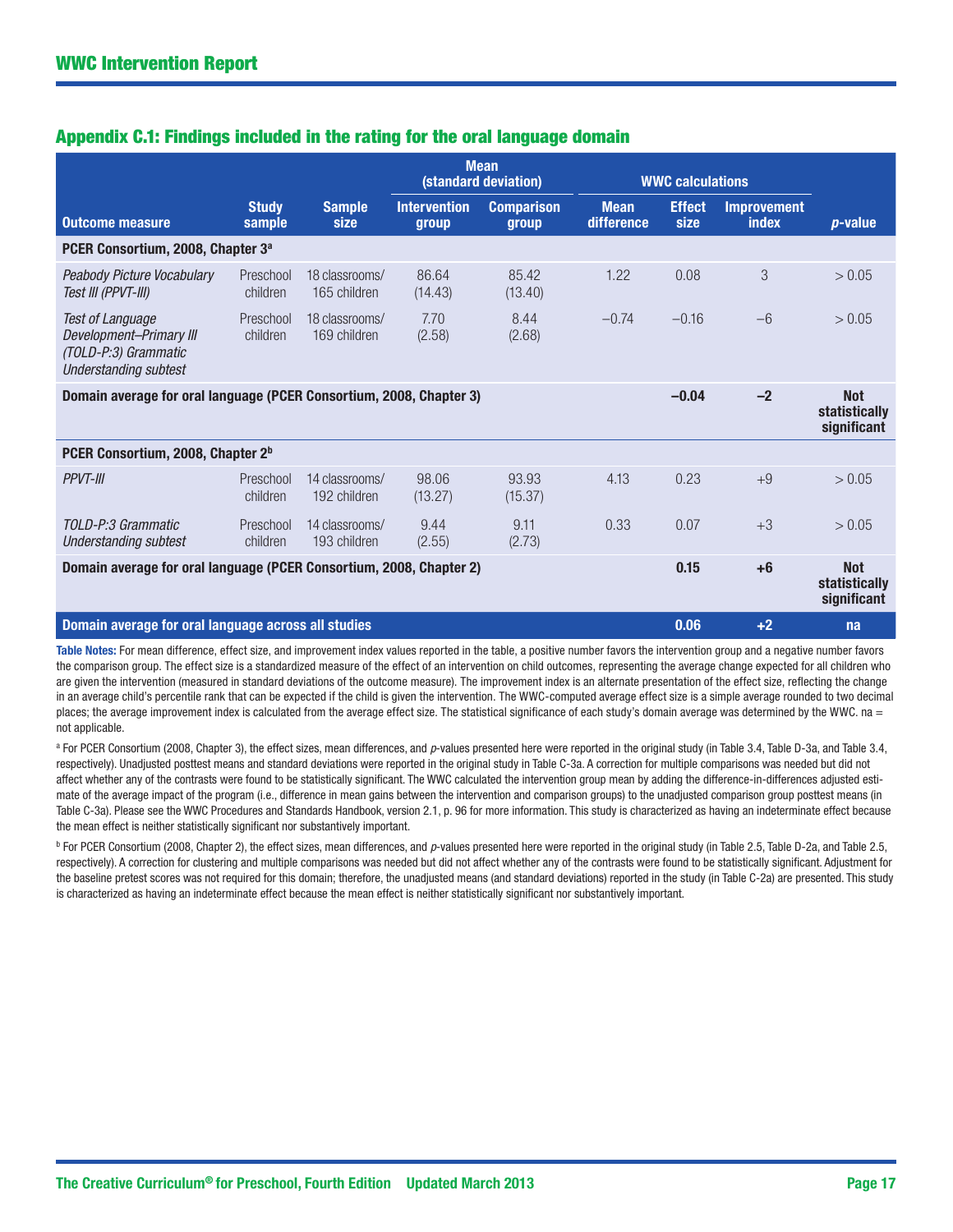# Appendix C.1: Findings included in the rating for the oral language domain

|                                                                                                            |                        |                                | <b>Mean</b><br>(standard deviation) |                            | <b>WWC calculations</b>   |                                            |                                    |                                                   |
|------------------------------------------------------------------------------------------------------------|------------------------|--------------------------------|-------------------------------------|----------------------------|---------------------------|--------------------------------------------|------------------------------------|---------------------------------------------------|
| <b>Outcome measure</b>                                                                                     | <b>Study</b><br>sample | <b>Sample</b><br>size          | <b>Intervention</b><br>group        | <b>Comparison</b><br>group | <b>Mean</b><br>difference | <b>Effect</b><br>size                      | <b>Improvement</b><br><b>index</b> | <i>p</i> -value                                   |
| PCER Consortium, 2008, Chapter 3 <sup>a</sup>                                                              |                        |                                |                                     |                            |                           |                                            |                                    |                                                   |
| Peabody Picture Vocabulary<br>Test III (PPVT-III)                                                          | Preschool<br>children  | 18 classrooms/<br>165 children | 86.64<br>(14.43)                    | 85.42<br>(13.40)           | 1.22                      | 0.08                                       | 3                                  | > 0.05                                            |
| <b>Test of Language</b><br>Development-Primary III<br>(TOLD-P:3) Grammatic<br><b>Understanding subtest</b> | Preschool<br>children  | 18 classrooms/<br>169 children | 7.70<br>(2.58)                      | 8.44<br>(2.68)             | $-0.74$                   | $-0.16$                                    | $-6$                               | > 0.05                                            |
| Domain average for oral language (PCER Consortium, 2008, Chapter 3)                                        |                        |                                |                                     |                            |                           | $-0.04$                                    | $-2$                               | <b>Not</b><br><b>statistically</b><br>significant |
| PCER Consortium, 2008, Chapter 2 <sup>b</sup>                                                              |                        |                                |                                     |                            |                           |                                            |                                    |                                                   |
| <b>PPVT-III</b>                                                                                            | Preschool<br>children  | 14 classrooms/<br>192 children | 98.06<br>(13.27)                    | 93.93<br>(15.37)           | 4.13                      | 0.23                                       | $+9$                               | > 0.05                                            |
| TOLD-P:3 Grammatic<br>Understanding subtest                                                                | Preschool<br>children  | 14 classrooms/<br>193 children | 9.44<br>(2.55)                      | 9.11<br>(2.73)             | 0.33                      | 0.07                                       | $+3$                               | > 0.05                                            |
| Domain average for oral language (PCER Consortium, 2008, Chapter 2)                                        |                        |                                |                                     | 0.15                       | $+6$                      | <b>Not</b><br>statistically<br>significant |                                    |                                                   |
| Domain average for oral language across all studies                                                        |                        |                                |                                     |                            |                           | 0.06                                       | $+2$                               | na                                                |

Table Notes: For mean difference, effect size, and improvement index values reported in the table, a positive number favors the intervention group and a negative number favors the comparison group. The effect size is a standardized measure of the effect of an intervention on child outcomes, representing the average change expected for all children who are given the intervention (measured in standard deviations of the outcome measure). The improvement index is an alternate presentation of the effect size, reflecting the change in an average child's percentile rank that can be expected if the child is given the intervention. The WWC-computed average effect size is a simple average rounded to two decimal places; the average improvement index is calculated from the average effect size. The statistical significance of each study's domain average was determined by the WWC. na = not applicable.

<sup>a</sup> For PCER Consortium (2008, Chapter 3), the effect sizes, mean differences, and *p*-values presented here were reported in the original study (in Table 3.4, Table D-3a, and Table 3.4, respectively). Unadjusted posttest means and standard deviations were reported in the original study in Table C-3a. A correction for multiple comparisons was needed but did not affect whether any of the contrasts were found to be statistically significant. The WWC calculated the intervention group mean by adding the difference-in-differences adjusted estimate of the average impact of the program (i.e., difference in mean gains between the intervention and comparison groups) to the unadjusted comparison group posttest means (in Table C-3a). Please see the WWC Procedures and Standards Handbook, version 2.1, p. 96 for more information. This study is characterized as having an indeterminate effect because the mean effect is neither statistically significant nor substantively important.

<sup>b</sup> For PCER Consortium (2008, Chapter 2), the effect sizes, mean differences, and *p*-values presented here were reported in the original study (in Table 2.5, Table D-2a, and Table 2.5, respectively). A correction for clustering and multiple comparisons was needed but did not affect whether any of the contrasts were found to be statistically significant. Adjustment for the baseline pretest scores was not required for this domain; therefore, the unadjusted means (and standard deviations) reported in the study (in Table C-2a) are presented. This study is characterized as having an indeterminate effect because the mean effect is neither statistically significant nor substantively important.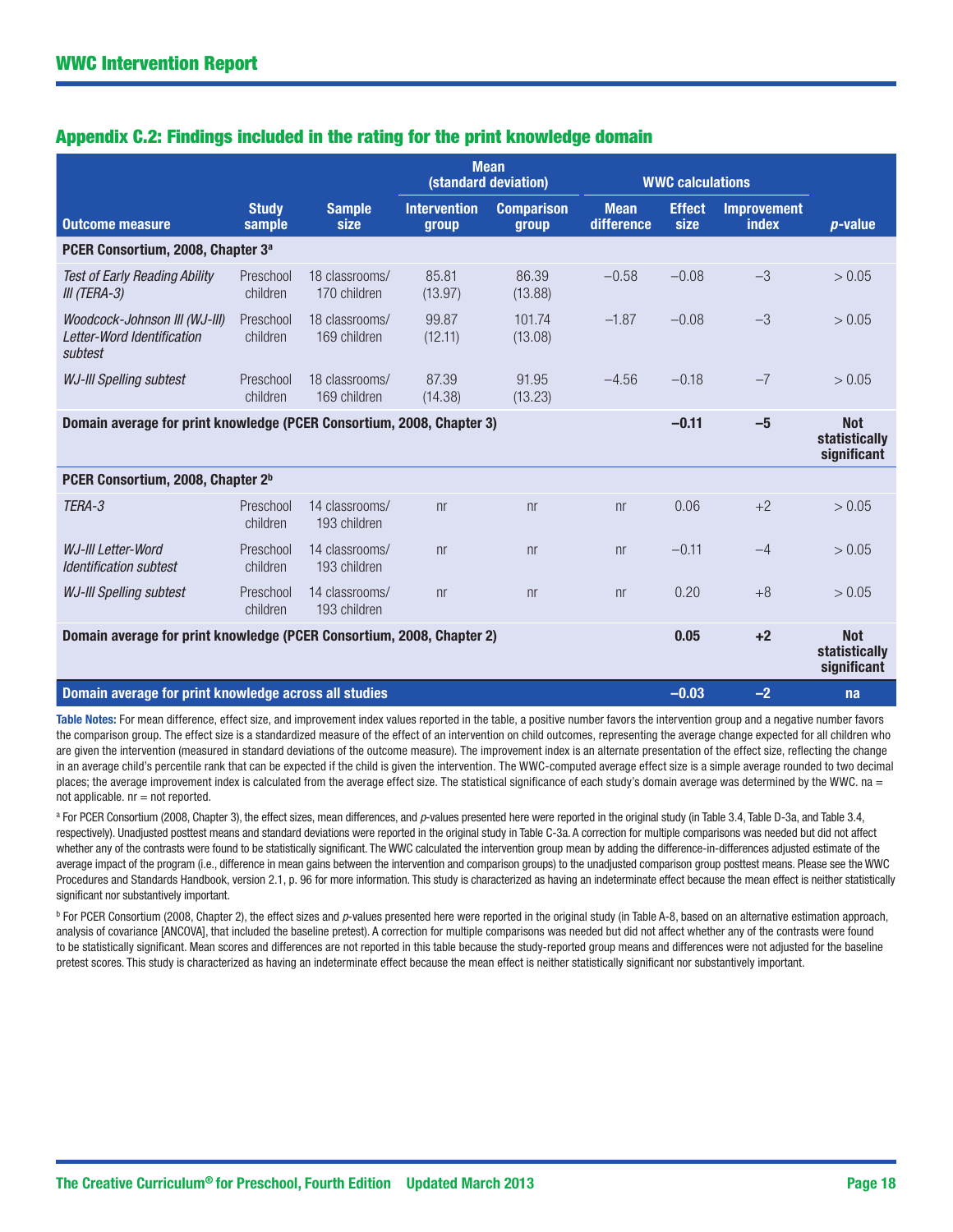# Appendix C.2: Findings included in the rating for the print knowledge domain

|                                                                        |                        |                                | <b>Mean</b><br>(standard deviation) |                            | <b>WWC calculations</b>   |                       |                                    |                                            |
|------------------------------------------------------------------------|------------------------|--------------------------------|-------------------------------------|----------------------------|---------------------------|-----------------------|------------------------------------|--------------------------------------------|
| <b>Outcome measure</b>                                                 | <b>Study</b><br>sample | <b>Sample</b><br>size          | <b>Intervention</b><br>group        | <b>Comparison</b><br>group | <b>Mean</b><br>difference | <b>Effect</b><br>size | <b>Improvement</b><br><b>index</b> | $p$ -value                                 |
| PCER Consortium, 2008, Chapter 3 <sup>a</sup>                          |                        |                                |                                     |                            |                           |                       |                                    |                                            |
| <b>Test of Early Reading Ability</b><br>III (TERA-3)                   | Preschool<br>children  | 18 classrooms/<br>170 children | 85.81<br>(13.97)                    | 86.39<br>(13.88)           | $-0.58$                   | $-0.08$               | $-3$                               | > 0.05                                     |
| Woodcock-Johnson III (WJ-III)<br>Letter-Word Identification<br>subtest | Preschool<br>children  | 18 classrooms/<br>169 children | 99.87<br>(12.11)                    | 101.74<br>(13.08)          | $-1.87$                   | $-0.08$               | $-3$                               | > 0.05                                     |
| <b>WJ-III Spelling subtest</b>                                         | Preschool<br>children  | 18 classrooms/<br>169 children | 87.39<br>(14.38)                    | 91.95<br>(13.23)           | $-4.56$                   | $-0.18$               | $-7$                               | > 0.05                                     |
| Domain average for print knowledge (PCER Consortium, 2008, Chapter 3)  |                        |                                |                                     |                            |                           | $-0.11$               | $-5$                               | <b>Not</b><br>statistically<br>significant |
| PCER Consortium, 2008, Chapter 2 <sup>b</sup>                          |                        |                                |                                     |                            |                           |                       |                                    |                                            |
| TERA-3                                                                 | Preschool<br>children  | 14 classrooms/<br>193 children | n <sub>r</sub>                      | n <sub>r</sub>             | n <sub>r</sub>            | 0.06                  | $+2$                               | > 0.05                                     |
| WJ-III Letter-Word<br><b>Identification subtest</b>                    | Preschool<br>children  | 14 classrooms/<br>193 children | n <sub>r</sub>                      | n <sub>r</sub>             | n <sub>r</sub>            | $-0.11$               | $-4$                               | > 0.05                                     |
| <b>WJ-III Spelling subtest</b>                                         | Preschool<br>children  | 14 classrooms/<br>193 children | n <sub>r</sub>                      | n <sub>r</sub>             | n <sub>r</sub>            | 0.20                  | $+8$                               | > 0.05                                     |
| Domain average for print knowledge (PCER Consortium, 2008, Chapter 2)  |                        |                                |                                     |                            |                           | 0.05                  | $+2$                               | <b>Not</b><br>statistically<br>significant |
| Domain average for print knowledge across all studies                  |                        |                                |                                     |                            |                           | $-0.03$               | $-2$                               | na                                         |

Table Notes: For mean difference, effect size, and improvement index values reported in the table, a positive number favors the intervention group and a negative number favors the comparison group. The effect size is a standardized measure of the effect of an intervention on child outcomes, representing the average change expected for all children who are given the intervention (measured in standard deviations of the outcome measure). The improvement index is an alternate presentation of the effect size, reflecting the change in an average child's percentile rank that can be expected if the child is given the intervention. The WWC-computed average effect size is a simple average rounded to two decimal places; the average improvement index is calculated from the average effect size. The statistical significance of each study's domain average was determined by the WWC. na =  $not$  applicable.  $nr = not$  reported.

<sup>a</sup> For PCER Consortium (2008, Chapter 3), the effect sizes, mean differences, and *p*-values presented here were reported in the original study (in Table 3.4, Table D-3a, and Table 3.4, respectively). Unadjusted posttest means and standard deviations were reported in the original study in Table C-3a. A correction for multiple comparisons was needed but did not affect whether any of the contrasts were found to be statistically significant. The WWC calculated the intervention group mean by adding the difference-in-differences adjusted estimate of the average impact of the program (i.e., difference in mean gains between the intervention and comparison groups) to the unadjusted comparison group posttest means. Please see the WWC Procedures and Standards Handbook, version 2.1, p. 96 for more information. This study is characterized as having an indeterminate effect because the mean effect is neither statistically significant nor substantively important.

<sup>b</sup> For PCER Consortium (2008, Chapter 2), the effect sizes and p-values presented here were reported in the original study (in Table A-8, based on an alternative estimation approach, analysis of covariance [ANCOVA], that included the baseline pretest). A correction for multiple comparisons was needed but did not affect whether any of the contrasts were found to be statistically significant. Mean scores and differences are not reported in this table because the study-reported group means and differences were not adjusted for the baseline pretest scores. This study is characterized as having an indeterminate effect because the mean effect is neither statistically significant nor substantively important.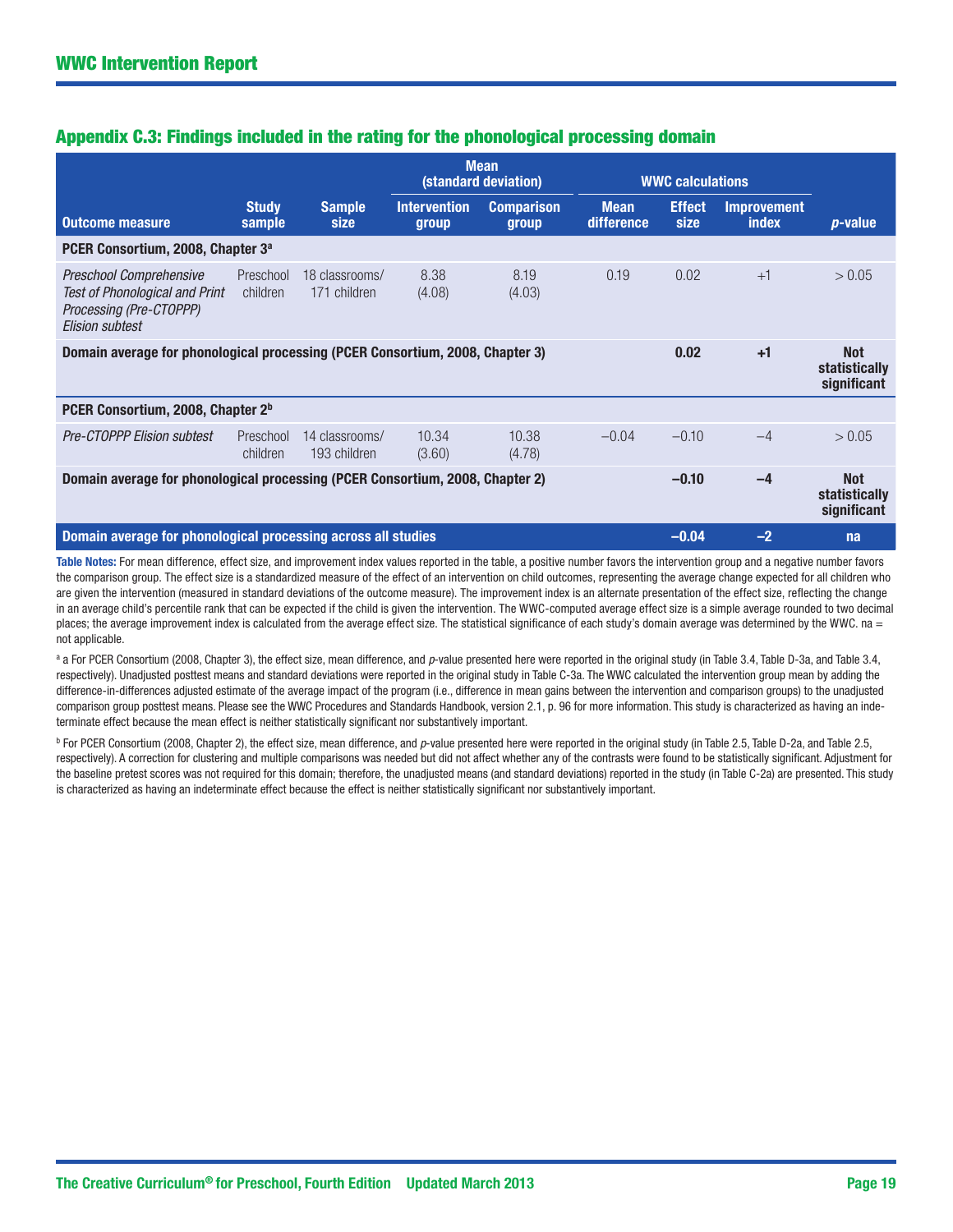| Appendix C.3: Findings included in the rating for the phonological processing domain |  |  |  |  |  |
|--------------------------------------------------------------------------------------|--|--|--|--|--|
|                                                                                      |  |  |  |  |  |

|                                                                                                                              |                        |                                | <b>Mean</b><br>(standard deviation) |                            | <b>WWC calculations</b>   |                       |                                    |                                            |
|------------------------------------------------------------------------------------------------------------------------------|------------------------|--------------------------------|-------------------------------------|----------------------------|---------------------------|-----------------------|------------------------------------|--------------------------------------------|
| <b>Outcome measure</b>                                                                                                       | <b>Study</b><br>sample | <b>Sample</b><br>size          | <b>Intervention</b><br>group        | <b>Comparison</b><br>group | <b>Mean</b><br>difference | <b>Effect</b><br>size | <b>Improvement</b><br><b>index</b> | <i>p</i> -value                            |
| PCER Consortium, 2008, Chapter 3 <sup>a</sup>                                                                                |                        |                                |                                     |                            |                           |                       |                                    |                                            |
| <b>Preschool Comprehensive</b><br><b>Test of Phonological and Print</b><br>Processing (Pre-CTOPPP)<br><b>Elision subtest</b> | Preschool<br>children  | 18 classrooms/<br>171 children | 8.38<br>(4.08)                      | 8.19<br>(4.03)             | 0.19                      | 0.02                  | $+1$                               | > 0.05                                     |
| Domain average for phonological processing (PCER Consortium, 2008, Chapter 3)                                                |                        |                                |                                     |                            |                           | 0.02                  | $+1$                               | <b>Not</b><br>statistically<br>significant |
| PCER Consortium, 2008, Chapter 2 <sup>b</sup>                                                                                |                        |                                |                                     |                            |                           |                       |                                    |                                            |
| <b>Pre-CTOPPP Elision subtest</b>                                                                                            | Preschool<br>children  | 14 classrooms/<br>193 children | 10.34<br>(3.60)                     | 10.38<br>(4.78)            | $-0.04$                   | $-0.10$               | $-4$                               | > 0.05                                     |
| Domain average for phonological processing (PCER Consortium, 2008, Chapter 2)                                                |                        |                                |                                     |                            |                           | $-0.10$               | -4                                 | <b>Not</b><br>statistically<br>significant |
| Domain average for phonological processing across all studies                                                                |                        |                                |                                     |                            |                           | $-0.04$               | $-2$                               | na                                         |

Table Notes: For mean difference, effect size, and improvement index values reported in the table, a positive number favors the intervention group and a negative number favors the comparison group. The effect size is a standardized measure of the effect of an intervention on child outcomes, representing the average change expected for all children who are given the intervention (measured in standard deviations of the outcome measure). The improvement index is an alternate presentation of the effect size, reflecting the change in an average child's percentile rank that can be expected if the child is given the intervention. The WWC-computed average effect size is a simple average rounded to two decimal places; the average improvement index is calculated from the average effect size. The statistical significance of each study's domain average was determined by the WWC. na = not applicable.

<sup>a</sup> a For PCER Consortium (2008, Chapter 3), the effect size, mean difference, and *p*-value presented here were reported in the original study (in Table 3.4, Table D-3a, and Table 3.4, respectively). Unadjusted posttest means and standard deviations were reported in the original study in Table C-3a. The WWC calculated the intervention group mean by adding the difference-in-differences adjusted estimate of the average impact of the program (i.e., difference in mean gains between the intervention and comparison groups) to the unadjusted comparison group posttest means. Please see the WWC Procedures and Standards Handbook, version 2.1, p. 96 for more information. This study is characterized as having an indeterminate effect because the mean effect is neither statistically significant nor substantively important.

<sup>b</sup> For PCER Consortium (2008, Chapter 2), the effect size, mean difference, and *p*-value presented here were reported in the original study (in Table 2.5, Table D-2a, and Table 2.5, respectively). A correction for clustering and multiple comparisons was needed but did not affect whether any of the contrasts were found to be statistically significant. Adjustment for the baseline pretest scores was not required for this domain; therefore, the unadjusted means (and standard deviations) reported in the study (in Table C-2a) are presented. This study is characterized as having an indeterminate effect because the effect is neither statistically significant nor substantively important.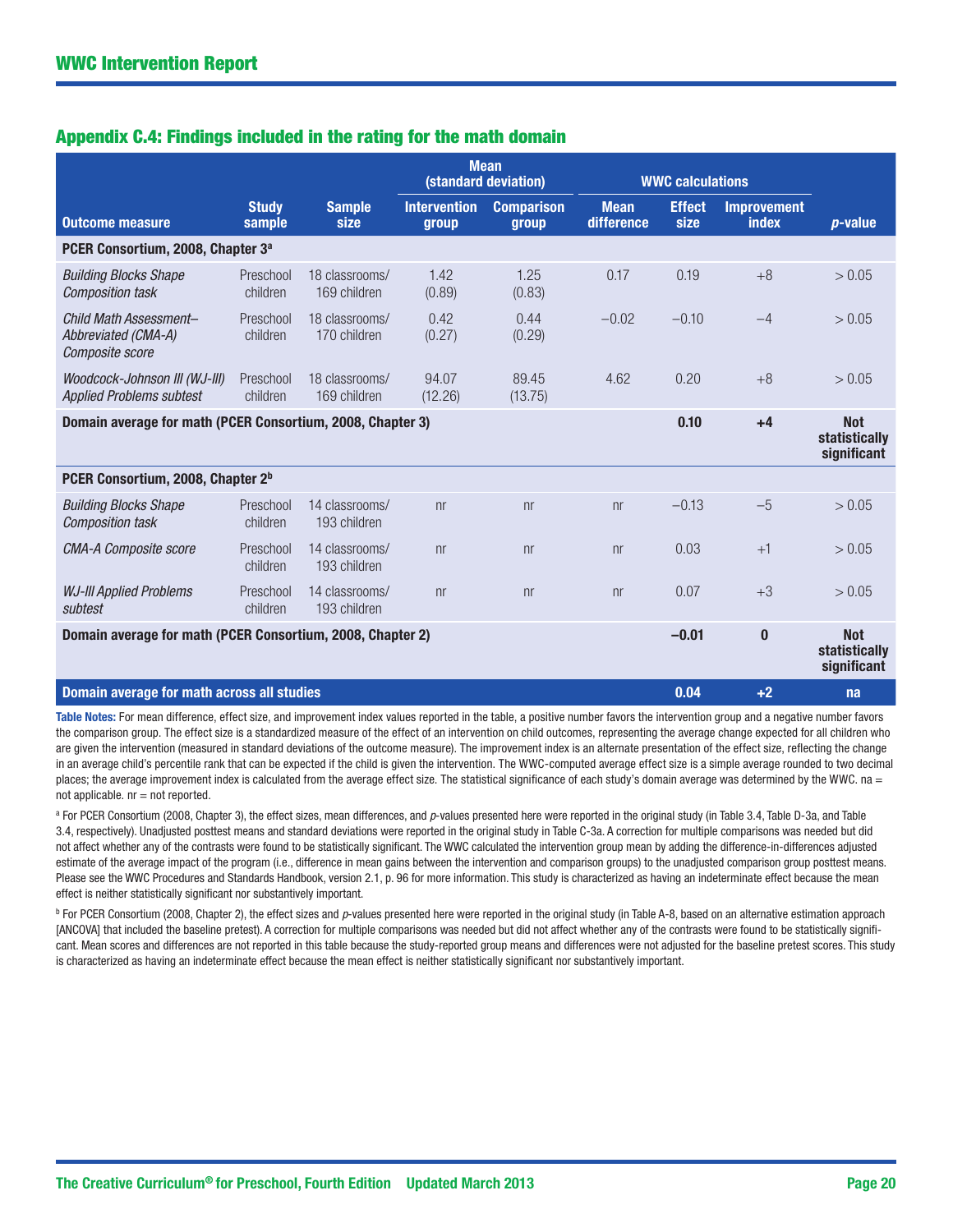| Appendix C.4: Findings included in the rating for the math domain |
|-------------------------------------------------------------------|
|-------------------------------------------------------------------|

|                                                                  |                        |                                |                              | <b>Mean</b><br>(standard deviation) |                                  | <b>WWC calculations</b> |                                    |                                            |
|------------------------------------------------------------------|------------------------|--------------------------------|------------------------------|-------------------------------------|----------------------------------|-------------------------|------------------------------------|--------------------------------------------|
| <b>Outcome measure</b>                                           | <b>Study</b><br>sample | <b>Sample</b><br>size          | <b>Intervention</b><br>group | <b>Comparison</b><br>group          | <b>Mean</b><br><b>difference</b> | <b>Effect</b><br>size   | <b>Improvement</b><br><b>index</b> | <i>p</i> -value                            |
| PCER Consortium, 2008, Chapter 3 <sup>a</sup>                    |                        |                                |                              |                                     |                                  |                         |                                    |                                            |
| <b>Building Blocks Shape</b><br><b>Composition task</b>          | Preschool<br>children  | 18 classrooms/<br>169 children | 1.42<br>(0.89)               | 1.25<br>(0.83)                      | 0.17                             | 0.19                    | $+8$                               | > 0.05                                     |
| Child Math Assessment-<br>Abbreviated (CMA-A)<br>Composite score | Preschool<br>children  | 18 classrooms/<br>170 children | 0.42<br>(0.27)               | 0.44<br>(0.29)                      | $-0.02$                          | $-0.10$                 | $-4$                               | > 0.05                                     |
| Woodcock-Johnson III (WJ-III)<br><b>Applied Problems subtest</b> | Preschool<br>children  | 18 classrooms/<br>169 children | 94.07<br>(12.26)             | 89.45<br>(13.75)                    | 4.62                             | 0.20                    | $+8$                               | > 0.05                                     |
| Domain average for math (PCER Consortium, 2008, Chapter 3)       |                        |                                |                              |                                     |                                  | 0.10                    | $+4$                               | <b>Not</b><br>statistically<br>significant |
| PCER Consortium, 2008, Chapter 2 <sup>b</sup>                    |                        |                                |                              |                                     |                                  |                         |                                    |                                            |
| <b>Building Blocks Shape</b><br><b>Composition task</b>          | Preschool<br>children  | 14 classrooms/<br>193 children | n <sub>r</sub>               | n <sub>r</sub>                      | n <sub>r</sub>                   | $-0.13$                 | $-5$                               | > 0.05                                     |
| <b>CMA-A Composite score</b>                                     | Preschool<br>children  | 14 classrooms/<br>193 children | n <sub>r</sub>               | n <sub>r</sub>                      | n <sub>r</sub>                   | 0.03                    | $+1$                               | > 0.05                                     |
| <b>WJ-III Applied Problems</b><br>subtest                        | Preschool<br>children  | 14 classrooms/<br>193 children | n <sub>r</sub>               | n <sub>r</sub>                      | n <sub>r</sub>                   | 0.07                    | $+3$                               | > 0.05                                     |
| Domain average for math (PCER Consortium, 2008, Chapter 2)       |                        |                                |                              |                                     |                                  | $-0.01$                 | $\bf{0}$                           | <b>Not</b><br>statistically<br>significant |
| Domain average for math across all studies                       |                        |                                |                              |                                     |                                  | 0.04                    | $+2$                               | na                                         |

Table Notes: For mean difference, effect size, and improvement index values reported in the table, a positive number favors the intervention group and a negative number favors the comparison group. The effect size is a standardized measure of the effect of an intervention on child outcomes, representing the average change expected for all children who are given the intervention (measured in standard deviations of the outcome measure). The improvement index is an alternate presentation of the effect size, reflecting the change in an average child's percentile rank that can be expected if the child is given the intervention. The WWC-computed average effect size is a simple average rounded to two decimal places; the average improvement index is calculated from the average effect size. The statistical significance of each study's domain average was determined by the WWC. na =  $not$  applicable.  $nr = not$  reported.

<sup>a</sup> For PCER Consortium (2008, Chapter 3), the effect sizes, mean differences, and *p*-values presented here were reported in the original study (in Table 3.4, Table D-3a, and Table 3.4, respectively). Unadjusted posttest means and standard deviations were reported in the original study in Table C-3a. A correction for multiple comparisons was needed but did not affect whether any of the contrasts were found to be statistically significant. The WWC calculated the intervention group mean by adding the difference-in-differences adjusted estimate of the average impact of the program (i.e., difference in mean gains between the intervention and comparison groups) to the unadjusted comparison group posttest means. Please see the WWC Procedures and Standards Handbook, version 2.1, p. 96 for more information. This study is characterized as having an indeterminate effect because the mean effect is neither statistically significant nor substantively important.

<sup>b</sup> For PCER Consortium (2008, Chapter 2), the effect sizes and *p*-values presented here were reported in the original study (in Table A-8, based on an alternative estimation approach [ANCOVA] that included the baseline pretest). A correction for multiple comparisons was needed but did not affect whether any of the contrasts were found to be statistically significant. Mean scores and differences are not reported in this table because the study-reported group means and differences were not adjusted for the baseline pretest scores. This study is characterized as having an indeterminate effect because the mean effect is neither statistically significant nor substantively important.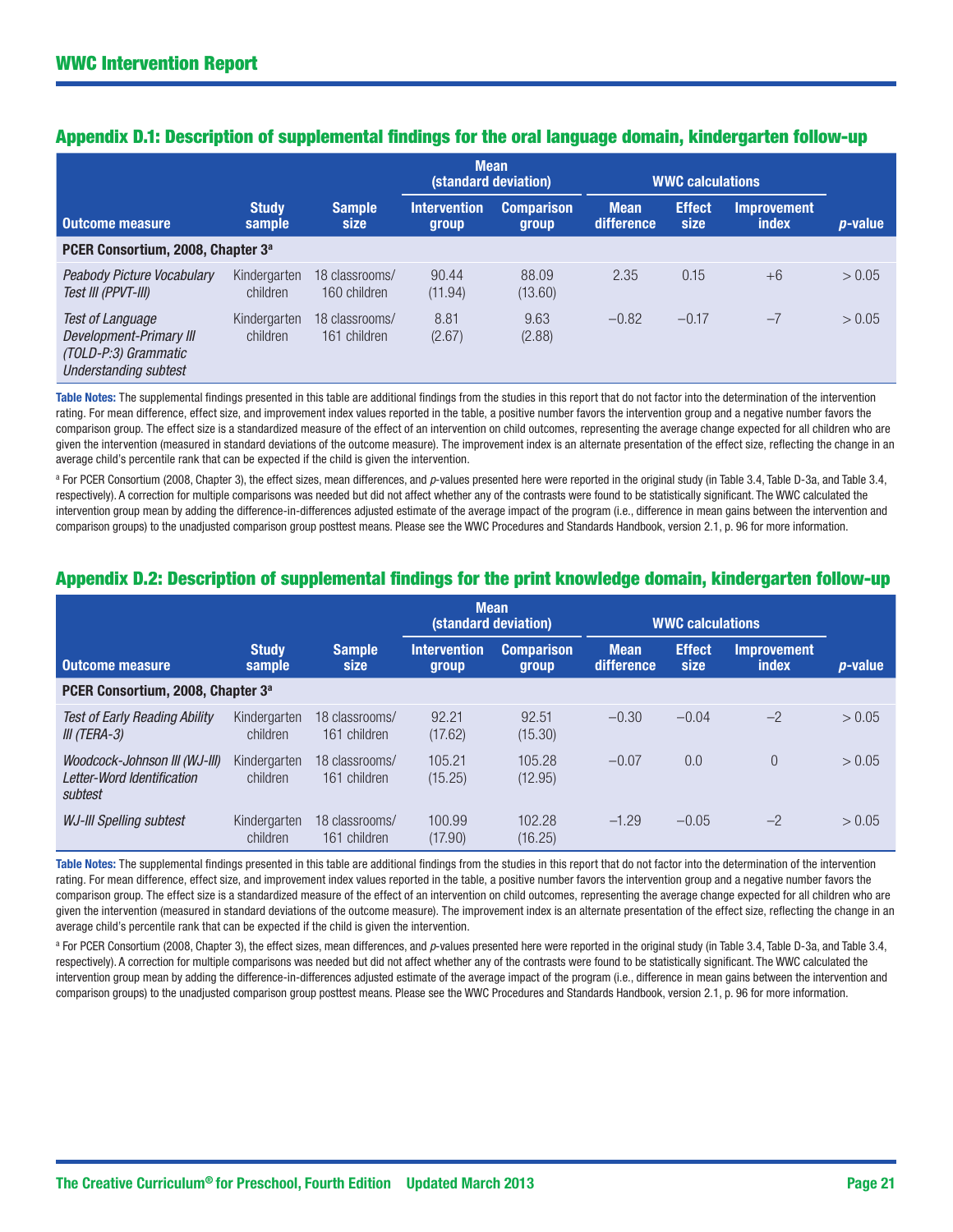|                                                                                                            |                          |                                | <b>Mean</b>                  | (standard deviation)       |                           | <b>WWC calculations</b> |                             |                 |
|------------------------------------------------------------------------------------------------------------|--------------------------|--------------------------------|------------------------------|----------------------------|---------------------------|-------------------------|-----------------------------|-----------------|
| <b>Outcome measure</b>                                                                                     | <b>Study</b><br>sample   | <b>Sample</b><br>size          | <b>Intervention</b><br>group | <b>Comparison</b><br>group | <b>Mean</b><br>difference | <b>Effect</b><br>size   | <b>Improvement</b><br>index | <i>p</i> -value |
| PCER Consortium, 2008, Chapter 3 <sup>a</sup>                                                              |                          |                                |                              |                            |                           |                         |                             |                 |
| Peabody Picture Vocabulary<br>Test III (PPVT-III)                                                          | Kindergarten<br>children | 18 classrooms/<br>160 children | 90.44<br>(11.94)             | 88.09<br>(13.60)           | 2.35                      | 0.15                    | $+6$                        | > 0.05          |
| <b>Test of Language</b><br>Development-Primary III<br>(TOLD-P:3) Grammatic<br><b>Understanding subtest</b> | Kindergarten<br>children | 18 classrooms/<br>161 children | 8.81<br>(2.67)               | 9.63<br>(2.88)             | $-0.82$                   | $-0.17$                 | $-7$                        | > 0.05          |

# Appendix D.1: Description of supplemental findings for the oral language domain, kindergarten follow-up

Table Notes: The supplemental findings presented in this table are additional findings from the studies in this report that do not factor into the determination of the intervention rating. For mean difference, effect size, and improvement index values reported in the table, a positive number favors the intervention group and a negative number favors the comparison group. The effect size is a standardized measure of the effect of an intervention on child outcomes, representing the average change expected for all children who are given the intervention (measured in standard deviations of the outcome measure). The improvement index is an alternate presentation of the effect size, reflecting the change in an average child's percentile rank that can be expected if the child is given the intervention.

<sup>a</sup> For PCER Consortium (2008, Chapter 3), the effect sizes, mean differences, and *p*-values presented here were reported in the original study (in Table 3.4, Table D-3a, and Table 3.4, respectively). A correction for multiple comparisons was needed but did not affect whether any of the contrasts were found to be statistically significant. The WWC calculated the intervention group mean by adding the difference-in-differences adjusted estimate of the average impact of the program (i.e., difference in mean gains between the intervention and comparison groups) to the unadjusted comparison group posttest means. Please see the WWC Procedures and Standards Handbook, version 2.1, p. 96 for more information.

# Appendix D.2: Description of supplemental findings for the print knowledge domain, kindergarten follow-up

|                                                                        |                          |                                | <b>Mean</b>                  | (standard deviation)              |                           | <b>WWC calculations</b> |                             |                 |
|------------------------------------------------------------------------|--------------------------|--------------------------------|------------------------------|-----------------------------------|---------------------------|-------------------------|-----------------------------|-----------------|
| Outcome measure                                                        | <b>Study</b><br>sample   | <b>Sample</b><br><b>size</b>   | <b>Intervention</b><br>group | <b>Comparison</b><br><b>group</b> | <b>Mean</b><br>difference | <b>Effect</b><br>size   | <b>Improvement</b><br>index | <i>p</i> -value |
| PCER Consortium, 2008, Chapter 3 <sup>a</sup>                          |                          |                                |                              |                                   |                           |                         |                             |                 |
| <b>Test of Early Reading Ability</b><br>III (TERA-3)                   | Kindergarten<br>children | 18 classrooms/<br>161 children | 92.21<br>(17.62)             | 92.51<br>(15.30)                  | $-0.30$                   | $-0.04$                 | $-2$                        | > 0.05          |
| Woodcock-Johnson III (WJ-III)<br>Letter-Word Identification<br>subtest | Kindergarten<br>children | 18 classrooms/<br>161 children | 105.21<br>(15.25)            | 105.28<br>(12.95)                 | $-0.07$                   | 0.0                     | $\overline{0}$              | > 0.05          |
| <b>WJ-III Spelling subtest</b>                                         | Kindergarten<br>children | 18 classrooms/<br>161 children | 100.99<br>(17.90)            | 102.28<br>(16.25)                 | $-1.29$                   | $-0.05$                 | $-2$                        | > 0.05          |

Table Notes: The supplemental findings presented in this table are additional findings from the studies in this report that do not factor into the determination of the intervention rating. For mean difference, effect size, and improvement index values reported in the table, a positive number favors the intervention group and a negative number favors the comparison group. The effect size is a standardized measure of the effect of an intervention on child outcomes, representing the average change expected for all children who are given the intervention (measured in standard deviations of the outcome measure). The improvement index is an alternate presentation of the effect size, reflecting the change in an average child's percentile rank that can be expected if the child is given the intervention.

<sup>a</sup> For PCER Consortium (2008, Chapter 3), the effect sizes, mean differences, and *p*-values presented here were reported in the original study (in Table 3.4, Table D-3a, and Table 3.4, respectively). A correction for multiple comparisons was needed but did not affect whether any of the contrasts were found to be statistically significant. The WWC calculated the intervention group mean by adding the difference-in-differences adjusted estimate of the average impact of the program (i.e., difference in mean gains between the intervention and comparison groups) to the unadjusted comparison group posttest means. Please see the WWC Procedures and Standards Handbook, version 2.1, p. 96 for more information.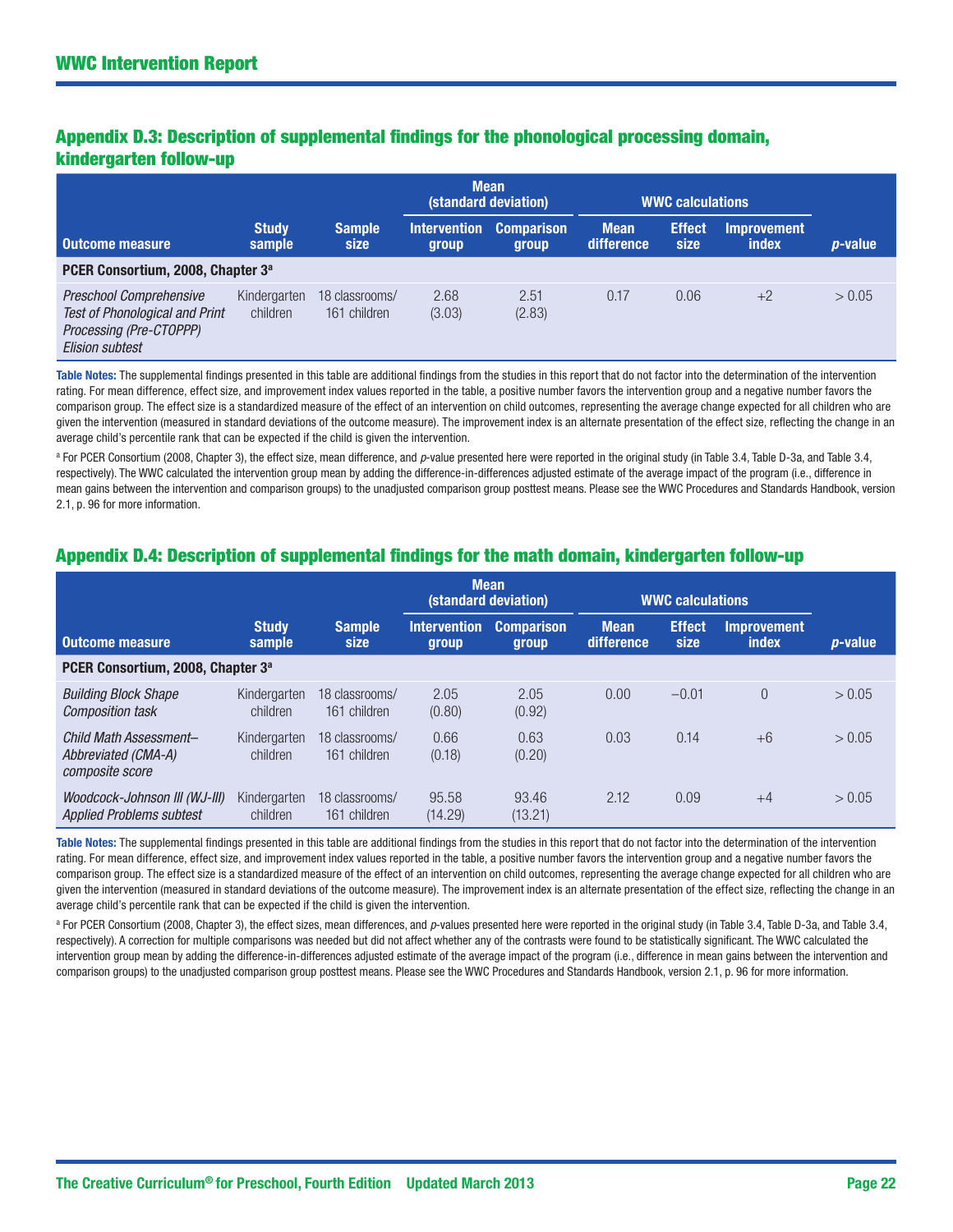# Appendix D.3: Description of supplemental findings for the phonological processing domain, kindergarten follow-up

|                                                                                                                              |                          |                                | <b>Mean</b>                  | (standard deviation)       |                           | <b>WWC calculations</b> |                                    |            |
|------------------------------------------------------------------------------------------------------------------------------|--------------------------|--------------------------------|------------------------------|----------------------------|---------------------------|-------------------------|------------------------------------|------------|
| <b>Outcome measure</b>                                                                                                       | <b>Study</b><br>sample   | <b>Sample</b><br>size          | <b>Intervention</b><br>group | <b>Comparison</b><br>group | <b>Mean</b><br>difference | <b>Effect</b><br>size   | <b>Improvement</b><br><b>index</b> | $p$ -value |
| PCER Consortium, 2008, Chapter 3 <sup>a</sup>                                                                                |                          |                                |                              |                            |                           |                         |                                    |            |
| <b>Preschool Comprehensive</b><br><b>Test of Phonological and Print</b><br>Processing (Pre-CTOPPP)<br><b>Elision subtest</b> | Kindergarten<br>children | 18 classrooms/<br>161 children | 2.68<br>(3.03)               | 2.51<br>(2.83)             | 0.17                      | 0.06                    | $+2$                               | > 0.05     |

Table Notes: The supplemental findings presented in this table are additional findings from the studies in this report that do not factor into the determination of the intervention rating. For mean difference, effect size, and improvement index values reported in the table, a positive number favors the intervention group and a negative number favors the comparison group. The effect size is a standardized measure of the effect of an intervention on child outcomes, representing the average change expected for all children who are given the intervention (measured in standard deviations of the outcome measure). The improvement index is an alternate presentation of the effect size, reflecting the change in an average child's percentile rank that can be expected if the child is given the intervention.

<sup>a</sup> For PCER Consortium (2008, Chapter 3), the effect size, mean difference, and *p*-value presented here were reported in the original study (in Table 3.4, Table D-3a, and Table 3.4, respectively). The WWC calculated the intervention group mean by adding the difference-in-differences adjusted estimate of the average impact of the program (i.e., difference in mean gains between the intervention and comparison groups) to the unadjusted comparison group posttest means. Please see the WWC Procedures and Standards Handbook, version 2.1, p. 96 for more information.

# Appendix D.4: Description of supplemental findings for the math domain, kindergarten follow-up

|                                                                  |                          |                                | <b>Mean</b>                  | (standard deviation)       |                           | <b>WWC calculations</b> |                                    |                 |
|------------------------------------------------------------------|--------------------------|--------------------------------|------------------------------|----------------------------|---------------------------|-------------------------|------------------------------------|-----------------|
| <b>Outcome measure</b>                                           | <b>Study</b><br>sample   | <b>Sample</b><br>size          | <b>Intervention</b><br>group | <b>Comparison</b><br>group | <b>Mean</b><br>difference | <b>Effect</b><br>size   | <b>Improvement</b><br><i>index</i> | <i>p</i> -value |
| PCER Consortium, 2008, Chapter 3 <sup>a</sup>                    |                          |                                |                              |                            |                           |                         |                                    |                 |
| <b>Building Block Shape</b><br><b>Composition task</b>           | Kindergarten<br>children | 18 classrooms/<br>161 children | 2.05<br>(0.80)               | 2.05<br>(0.92)             | 0.00                      | $-0.01$                 | $\Omega$                           | > 0.05          |
| Child Math Assessment-<br>Abbreviated (CMA-A)<br>composite score | Kindergarten<br>children | 18 classrooms/<br>161 children | 0.66<br>(0.18)               | 0.63<br>(0.20)             | 0.03                      | 0.14                    | $+6$                               | > 0.05          |
| Woodcock-Johnson III (WJ-III)<br><b>Applied Problems subtest</b> | Kindergarten<br>children | 18 classrooms/<br>161 children | 95.58<br>(14.29)             | 93.46<br>(13.21)           | 2.12                      | 0.09                    | $+4$                               | > 0.05          |

Table Notes: The supplemental findings presented in this table are additional findings from the studies in this report that do not factor into the determination of the intervention rating. For mean difference, effect size, and improvement index values reported in the table, a positive number favors the intervention group and a negative number favors the comparison group. The effect size is a standardized measure of the effect of an intervention on child outcomes, representing the average change expected for all children who are given the intervention (measured in standard deviations of the outcome measure). The improvement index is an alternate presentation of the effect size, reflecting the change in an average child's percentile rank that can be expected if the child is given the intervention.

<sup>a</sup> For PCER Consortium (2008, Chapter 3), the effect sizes, mean differences, and *p*-values presented here were reported in the original study (in Table 3.4, Table D-3a, and Table 3.4, respectively). A correction for multiple comparisons was needed but did not affect whether any of the contrasts were found to be statistically significant. The WWC calculated the intervention group mean by adding the difference-in-differences adjusted estimate of the average impact of the program (i.e., difference in mean gains between the intervention and comparison groups) to the unadjusted comparison group posttest means. Please see the WWC Procedures and Standards Handbook, version 2.1, p. 96 for more information.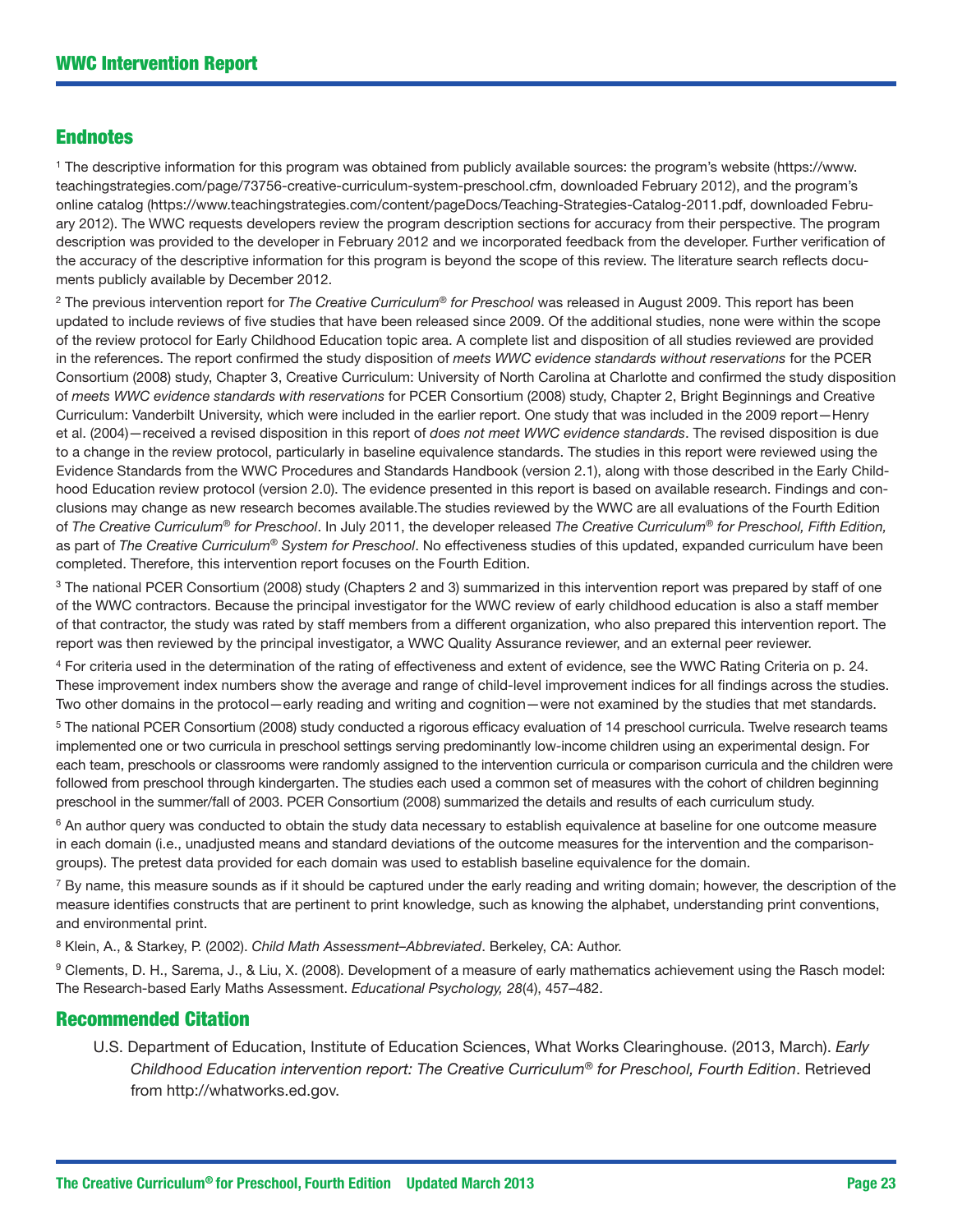# Endnotes

1 The descriptive information for this program was obtained from publicly available sources: the program's website (https://www. teachingstrategies.com/page/73756-creative-curriculum-system-preschool.cfm, downloaded February 2012), and the program's online catalog [\(https://www.teachingstrategies.com/content/pageDocs/Teaching-Strategies-Catalog-2011.pdf](https://www.teachingstrategies.com/content/pageDocs/Teaching-Strategies-Catalog-2011.pdf), downloaded February 2012). The WWC requests developers review the program description sections for accuracy from their perspective. The program description was provided to the developer in February 2012 and we incorporated feedback from the developer. Further verification of the accuracy of the descriptive information for this program is beyond the scope of this review. The literature search reflects documents publicly available by December 2012.

2 The previous intervention report for *The Creative Curriculum*® *for Preschool* was released in August 2009. This report has been updated to include reviews of five studies that have been released since 2009. Of the additional studies, none were within the scope of the review protocol for Early Childhood Education topic area. A complete list and disposition of all studies reviewed are provided in the references. The report confirmed the study disposition of *meets WWC evidence standards without reservations* for the PCER Consortium (2008) study, Chapter 3, Creative Curriculum: University of North Carolina at Charlotte and confirmed the study disposition of *meets WWC evidence standards with reservations* for PCER Consortium (2008) study, Chapter 2, Bright Beginnings and Creative Curriculum: Vanderbilt University, which were included in the earlier report. One study that was included in the 2009 report—Henry et al. (2004)—received a revised disposition in this report of *does not meet WWC evidence standards*. The revised disposition is due to a change in the review protocol, particularly in baseline equivalence standards. The studies in this report were reviewed using the Evidence Standards from the WWC Procedures and Standards Handbook (version 2.1), along with those described in the Early Childhood Education review protocol (version 2.0). The evidence presented in this report is based on available research. Findings and conclusions may change as new research becomes available.The studies reviewed by the WWC are all evaluations of the Fourth Edition of *The Creative Curriculum*® *for Preschool*. In July 2011, the developer released *The Creative Curriculum*® *for Preschool, Fifth Edition,* as part of *The Creative Curriculum*® *System for Preschool*. No effectiveness studies of this updated, expanded curriculum have been completed. Therefore, this intervention report focuses on the Fourth Edition.

<sup>3</sup> The national PCER Consortium (2008) study (Chapters 2 and 3) summarized in this intervention report was prepared by staff of one of the WWC contractors. Because the principal investigator for the WWC review of early childhood education is also a staff member of that contractor, the study was rated by staff members from a different organization, who also prepared this intervention report. The report was then reviewed by the principal investigator, a WWC Quality Assurance reviewer, and an external peer reviewer.

4 For criteria used in the determination of the rating of effectiveness and extent of evidence, see the WWC Rating Criteria on p. 24. These improvement index numbers show the average and range of child-level improvement indices for all findings across the studies. Two other domains in the protocol—early reading and writing and cognition—were not examined by the studies that met standards.

5 The national PCER Consortium (2008) study conducted a rigorous efficacy evaluation of 14 preschool curricula. Twelve research teams implemented one or two curricula in preschool settings serving predominantly low-income children using an experimental design. For each team, preschools or classrooms were randomly assigned to the intervention curricula or comparison curricula and the children were followed from preschool through kindergarten. The studies each used a common set of measures with the cohort of children beginning preschool in the summer/fall of 2003. PCER Consortium (2008) summarized the details and results of each curriculum study.

<sup>6</sup> An author query was conducted to obtain the study data necessary to establish equivalence at baseline for one outcome measure in each domain (i.e., unadjusted means and standard deviations of the outcome measures for the intervention and the comparisongroups). The pretest data provided for each domain was used to establish baseline equivalence for the domain.

 $7$  By name, this measure sounds as if it should be captured under the early reading and writing domain; however, the description of the measure identifies constructs that are pertinent to print knowledge, such as knowing the alphabet, understanding print conventions, and environmental print.

8 Klein, A., & Starkey, P. (2002). *Child Math Assessment–Abbreviated*. Berkeley, CA: Author.

9 Clements, D. H., Sarema, J., & Liu, X. (2008). Development of a measure of early mathematics achievement using the Rasch model: The Research-based Early Maths Assessment. *Educational Psychology, 28*(4), 457–482.

# Recommended Citation

U.S. Department of Education, Institute of Education Sciences, What Works Clearinghouse. (2013, March). *Early Childhood Education intervention report: The Creative Curriculum*® *for Preschool, Fourth Edition*. Retrieved from<http://whatworks.ed.gov>.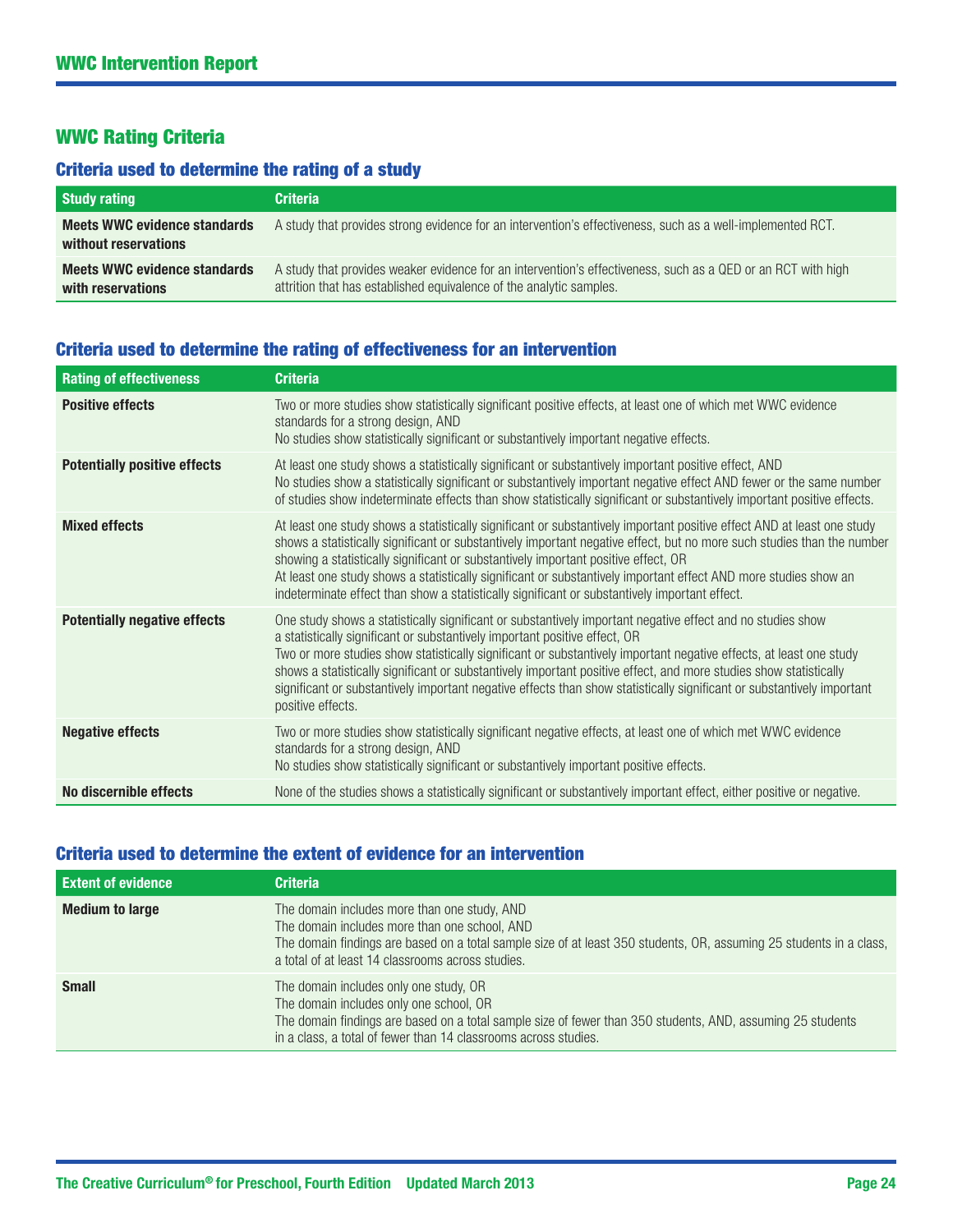# WWC Rating Criteria

# Criteria used to determine the rating of a study

| <b>Study rating</b>                                         | <b>Criteria</b>                                                                                                                                                                     |
|-------------------------------------------------------------|-------------------------------------------------------------------------------------------------------------------------------------------------------------------------------------|
| <b>Meets WWC evidence standards</b><br>without reservations | A study that provides strong evidence for an intervention's effectiveness, such as a well-implemented RCT.                                                                          |
| <b>Meets WWC evidence standards</b><br>with reservations    | A study that provides weaker evidence for an intervention's effectiveness, such as a QED or an RCT with high<br>attrition that has established equivalence of the analytic samples. |

# Criteria used to determine the rating of effectiveness for an intervention

| <b>Rating of effectiveness</b>      | <b>Criteria</b>                                                                                                                                                                                                                                                                                                                                                                                                                                                                                                                                                                    |
|-------------------------------------|------------------------------------------------------------------------------------------------------------------------------------------------------------------------------------------------------------------------------------------------------------------------------------------------------------------------------------------------------------------------------------------------------------------------------------------------------------------------------------------------------------------------------------------------------------------------------------|
| <b>Positive effects</b>             | Two or more studies show statistically significant positive effects, at least one of which met WWC evidence<br>standards for a strong design, AND<br>No studies show statistically significant or substantively important negative effects.                                                                                                                                                                                                                                                                                                                                        |
| <b>Potentially positive effects</b> | At least one study shows a statistically significant or substantively important positive effect, AND<br>No studies show a statistically significant or substantively important negative effect AND fewer or the same number<br>of studies show indeterminate effects than show statistically significant or substantively important positive effects.                                                                                                                                                                                                                              |
| <b>Mixed effects</b>                | At least one study shows a statistically significant or substantively important positive effect AND at least one study<br>shows a statistically significant or substantively important negative effect, but no more such studies than the number<br>showing a statistically significant or substantively important positive effect, OR<br>At least one study shows a statistically significant or substantively important effect AND more studies show an<br>indeterminate effect than show a statistically significant or substantively important effect.                         |
| <b>Potentially negative effects</b> | One study shows a statistically significant or substantively important negative effect and no studies show<br>a statistically significant or substantively important positive effect, OR<br>Two or more studies show statistically significant or substantively important negative effects, at least one study<br>shows a statistically significant or substantively important positive effect, and more studies show statistically<br>significant or substantively important negative effects than show statistically significant or substantively important<br>positive effects. |
| <b>Negative effects</b>             | Two or more studies show statistically significant negative effects, at least one of which met WWC evidence<br>standards for a strong design, AND<br>No studies show statistically significant or substantively important positive effects.                                                                                                                                                                                                                                                                                                                                        |
| No discernible effects              | None of the studies shows a statistically significant or substantively important effect, either positive or negative.                                                                                                                                                                                                                                                                                                                                                                                                                                                              |

# Criteria used to determine the extent of evidence for an intervention

| <b>Extent of evidence</b> | <b>Criteria</b>                                                                                                                                                                                                                                                           |
|---------------------------|---------------------------------------------------------------------------------------------------------------------------------------------------------------------------------------------------------------------------------------------------------------------------|
| <b>Medium to large</b>    | The domain includes more than one study, AND<br>The domain includes more than one school, AND<br>The domain findings are based on a total sample size of at least 350 students, OR, assuming 25 students in a class,<br>a total of at least 14 classrooms across studies. |
| <b>Small</b>              | The domain includes only one study, OR<br>The domain includes only one school, OR<br>The domain findings are based on a total sample size of fewer than 350 students, AND, assuming 25 students<br>in a class, a total of fewer than 14 classrooms across studies.        |